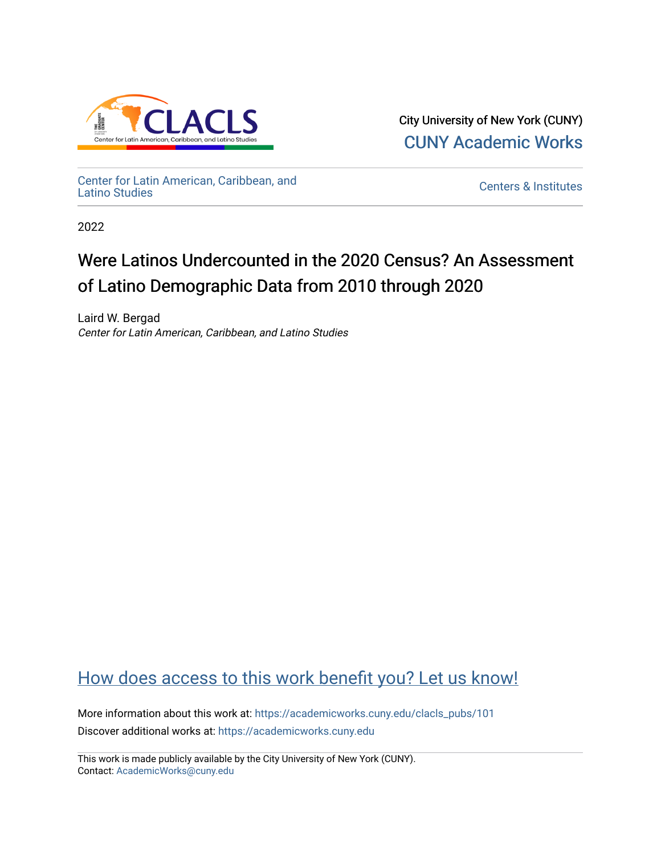

City University of New York (CUNY) [CUNY Academic Works](https://academicworks.cuny.edu/) 

[Center for Latin American, Caribbean, and](https://academicworks.cuny.edu/clacls_pubs)

**Centers & Institutes** 

2022

# Were Latinos Undercounted in the 2020 Census? An Assessment of Latino Demographic Data from 2010 through 2020

Laird W. Bergad Center for Latin American, Caribbean, and Latino Studies

## [How does access to this work benefit you? Let us know!](http://ols.cuny.edu/academicworks/?ref=https://academicworks.cuny.edu/clacls_pubs/101)

More information about this work at: [https://academicworks.cuny.edu/clacls\\_pubs/101](https://academicworks.cuny.edu/clacls_pubs/101) Discover additional works at: [https://academicworks.cuny.edu](https://academicworks.cuny.edu/?)

This work is made publicly available by the City University of New York (CUNY). Contact: [AcademicWorks@cuny.edu](mailto:AcademicWorks@cuny.edu)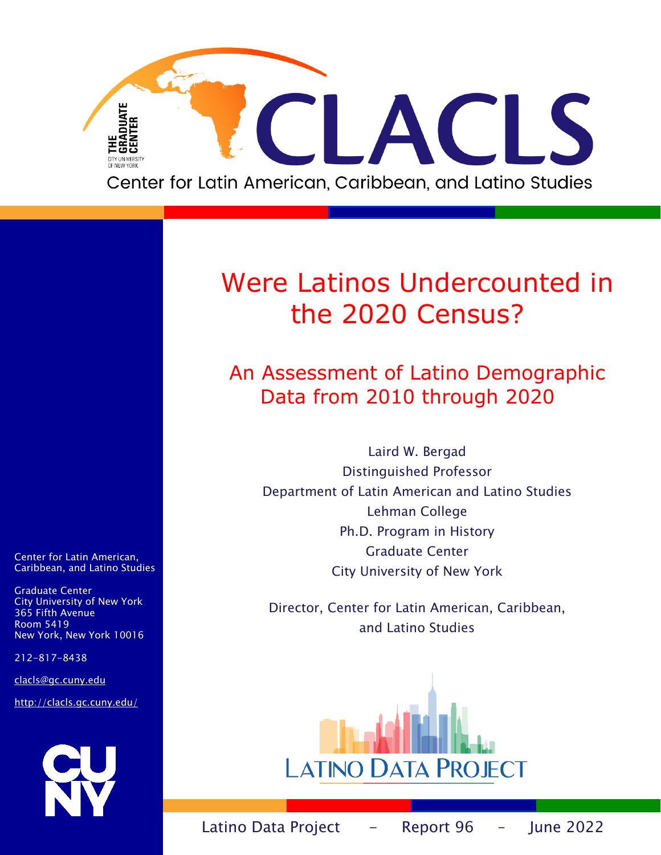

# Were Latinos Undercounted in the 2020 Census?

An Assessment of Latino Demographic Data from 2010 through 2020

Laird W. Bergad Distinguished Professor Department of Latin American and Latino Studies Lehman College Ph.D. Program in History Graduate Center City University of New York

Director, Center for Latin American, Caribbean, and Latino Studies



Center for Latin American, Caribbean, and Latino Studies

Graduate Center City University of New York 365 Fifth Avenue Room 5419 New York, New York 10016

212-817-8438

clacls@gc.cuny.edu

<http://clacls.gc.cuny.edu/>

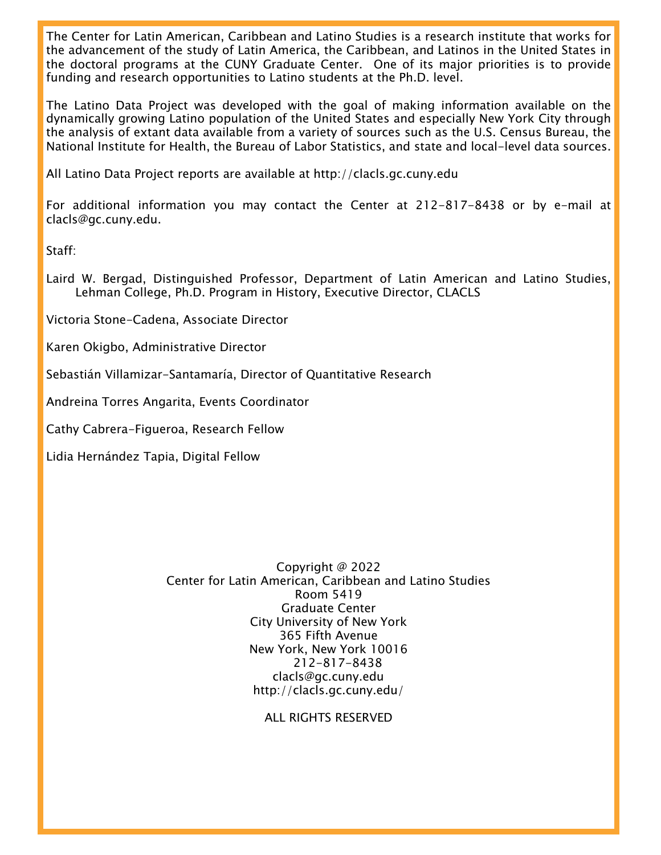The Center for Latin American, Caribbean and Latino Studies is a research institute that works for the advancement of the study of Latin America, the Caribbean, and Latinos in the United States in the doctoral programs at the CUNY Graduate Center. One of its major priorities is to provide funding and research opportunities to Latino students at the Ph.D. level.

The Latino Data Project was developed with the goal of making information available on the dynamically growing Latino population of the United States and especially New York City through the analysis of extant data available from a variety of sources such as the U.S. Census Bureau, the National Institute for Health, the Bureau of Labor Statistics, and state and local-level data sources.

All Latino Data Project reports are available at http://clacls.gc.cuny.edu

For additional information you may contact the Center at 212-817-8438 or by e-mail at clacls@gc.cuny.edu.

Staff:

Laird W. Bergad, Distinguished Professor, Department of Latin American and Latino Studies, Lehman College, Ph.D. Program in History, Executive Director, CLACLS

Victoria Stone-Cadena, Associate Director

Karen Okigbo, Administrative Director

Sebastián Villamizar-Santamaría, Director of Quantitative Research

Andreina Torres Angarita, Events Coordinator

Cathy Cabrera-Figueroa, Research Fellow

Lidia Hernández Tapia, Digital Fellow

Copyright @ 2022 Center for Latin American, Caribbean and Latino Studies Room 5419 Graduate Center City University of New York 365 Fifth Avenue New York, New York 10016 212-817-8438 clacls@gc.cuny.edu http://clacls.gc.cuny.edu/

ALL RIGHTS RESERVED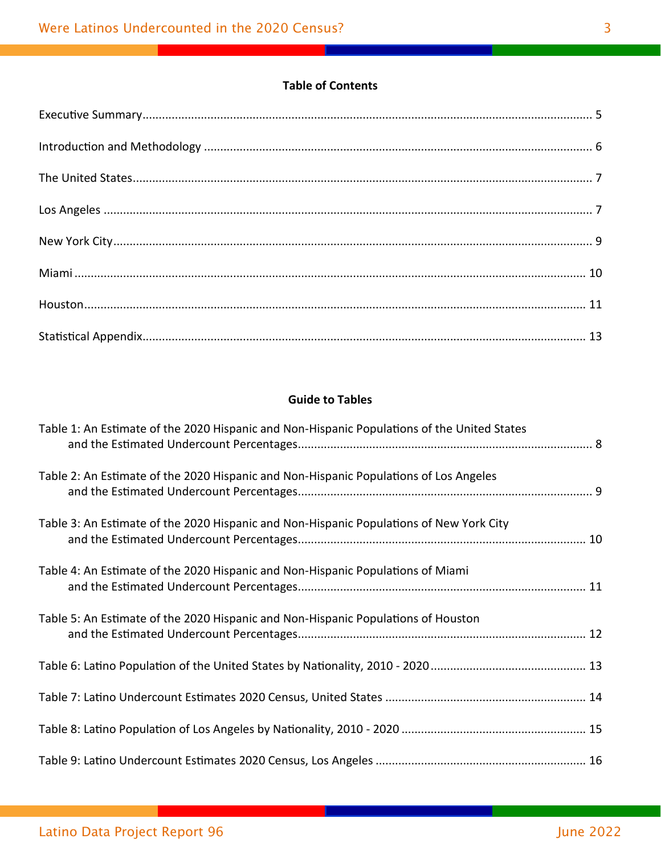## **Table of Contents**

### **Guide to Tables**

| Table 1: An Estimate of the 2020 Hispanic and Non-Hispanic Populations of the United States |  |
|---------------------------------------------------------------------------------------------|--|
| Table 2: An Estimate of the 2020 Hispanic and Non-Hispanic Populations of Los Angeles       |  |
| Table 3: An Estimate of the 2020 Hispanic and Non-Hispanic Populations of New York City     |  |
| Table 4: An Estimate of the 2020 Hispanic and Non-Hispanic Populations of Miami             |  |
| Table 5: An Estimate of the 2020 Hispanic and Non-Hispanic Populations of Houston           |  |
|                                                                                             |  |
|                                                                                             |  |
|                                                                                             |  |
|                                                                                             |  |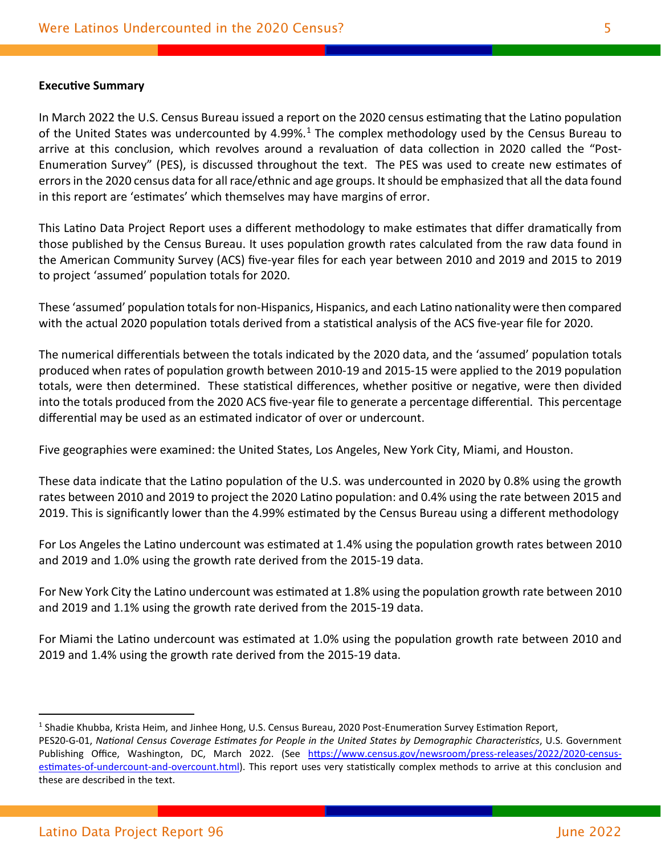#### **Executive Summary**

In March 2022 the U.S. Census Bureau issued a report on the 2020 census estimating that the Latino population of the United States was undercounted by 4.99%.<sup>[1](#page-5-0)</sup> The complex methodology used by the Census Bureau to arrive at this conclusion, which revolves around a revaluation of data collection in 2020 called the "Post-Enumeration Survey" (PES), is discussed throughout the text. The PES was used to create new estimates of errorsin the 2020 census data for all race/ethnic and age groups. It should be emphasized that all the data found in this report are 'estimates' which themselves may have margins of error.

This Latino Data Project Report uses a different methodology to make estimates that differ dramatically from those published by the Census Bureau. It uses population growth rates calculated from the raw data found in the American Community Survey (ACS) five-year files for each year between 2010 and 2019 and 2015 to 2019 to project 'assumed' population totals for 2020.

These 'assumed' population totals for non-Hispanics, Hispanics, and each Latino nationality were then compared with the actual 2020 population totals derived from a statistical analysis of the ACS five-year file for 2020.

The numerical differentials between the totals indicated by the 2020 data, and the 'assumed' population totals produced when rates of population growth between 2010-19 and 2015-15 were applied to the 2019 population totals, were then determined. These statistical differences, whether positive or negative, were then divided into the totals produced from the 2020 ACS five-year file to generate a percentage differential. This percentage differential may be used as an estimated indicator of over or undercount.

Five geographies were examined: the United States, Los Angeles, New York City, Miami, and Houston.

These data indicate that the Latino population of the U.S. was undercounted in 2020 by 0.8% using the growth rates between 2010 and 2019 to project the 2020 Latino population: and 0.4% using the rate between 2015 and 2019. This is significantly lower than the 4.99% estimated by the Census Bureau using a different methodology

For Los Angeles the Latino undercount was estimated at 1.4% using the population growth rates between 2010 and 2019 and 1.0% using the growth rate derived from the 2015-19 data.

For New York City the Latino undercount was estimated at 1.8% using the population growth rate between 2010 and 2019 and 1.1% using the growth rate derived from the 2015-19 data.

For Miami the Latino undercount was estimated at 1.0% using the population growth rate between 2010 and 2019 and 1.4% using the growth rate derived from the 2015-19 data.

 $\overline{a}$ 

<span id="page-5-0"></span><sup>&</sup>lt;sup>1</sup> Shadie Khubba, Krista Heim, and Jinhee Hong, U.S. Census Bureau, 2020 Post-Enumeration Survey Estimation Report, PES20-G-01, *National Census Coverage Estimates for People in the United States by Demographic Characteristics*, U.S. Government Publishing Office, Washington, DC, March 2022. (See https://www.census.gov/newsroom/press-releases/2022/2020-censusestimates-of-undercount-and-[overcount.html\)](https://www.census.gov/newsroom/press-releases/2022/2020-census-estimates-of-undercount-and-overcount.html). This report uses very statistically complex methods to arrive at this conclusion and these are described in the text.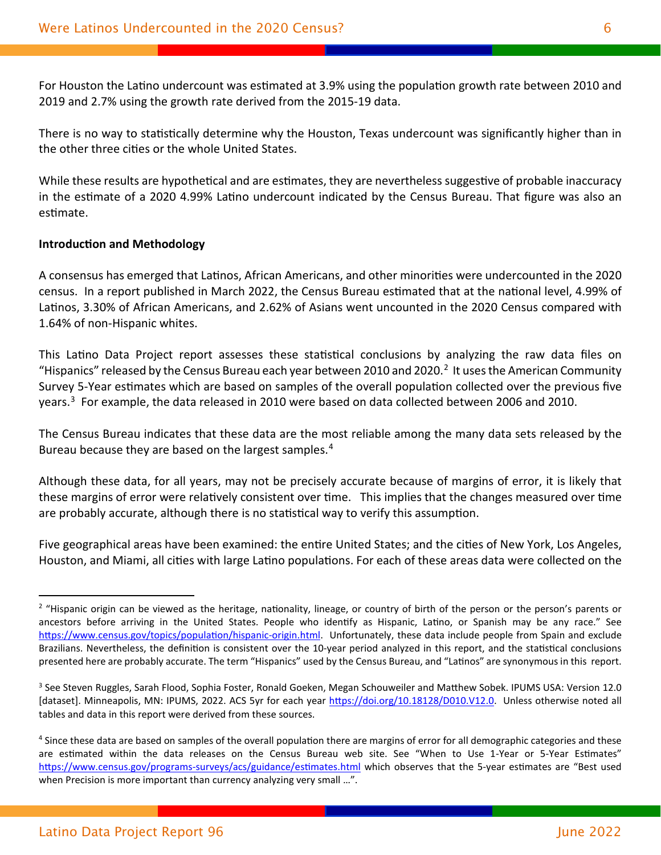For Houston the Latino undercount was estimated at 3.9% using the population growth rate between 2010 and 2019 and 2.7% using the growth rate derived from the 2015-19 data.

There is no way to statistically determine why the Houston, Texas undercount was significantly higher than in the other three cities or the whole United States.

While these results are hypothetical and are estimates, they are nevertheless suggestive of probable inaccuracy in the estimate of a 2020 4.99% Latino undercount indicated by the Census Bureau. That figure was also an estimate.

#### **Introduction and Methodology**

A consensus has emerged that Latinos, African Americans, and other minorities were undercounted in the 2020 census. In a report published in March 2022, the Census Bureau estimated that at the national level, 4.99% of Latinos, 3.30% of African Americans, and 2.62% of Asians went uncounted in the 2020 Census compared with 1.64% of non-Hispanic whites.

This Latino Data Project report assesses these statistical conclusions by analyzing the raw data files on "Hispanics" released by the Census Bureau each year between [2](#page-6-0)010 and 2020.<sup>2</sup> It uses the American Community Survey 5-Year estimates which are based on samples of the overall population collected over the previous five years.[3](#page-6-1) For example, the data released in 2010 were based on data collected between 2006 and 2010.

The Census Bureau indicates that these data are the most reliable among the many data sets released by the Bureau because they are based on the largest samples.<sup>[4](#page-6-2)</sup>

Although these data, for all years, may not be precisely accurate because of margins of error, it is likely that these margins of error were relatively consistent over time. This implies that the changes measured over time are probably accurate, although there is no statistical way to verify this assumption.

Five geographical areas have been examined: the entire United States; and the cities of New York, Los Angeles, Houston, and Miami, all cities with large Latino populations. For each of these areas data were collected on the

 $\overline{a}$ 

<span id="page-6-0"></span><sup>&</sup>lt;sup>2</sup> "Hispanic origin can be viewed as the heritage, nationality, lineage, or country of birth of the person or the person's parents or ancestors before arriving in the United States. People who identify as Hispanic, Latino, or Spanish may be any race." See https://www.census.gov/topics/population/hispanic-origin.html. Unfortunately, these data include people from Spain and exclude Brazilians. Nevertheless, the definition is consistent over the 10-year period analyzed in this report, and the statistical conclusions presented here are probably accurate. The term "Hispanics" used by the Census Bureau, and "Latinos" are synonymous in this report.

<span id="page-6-1"></span><sup>&</sup>lt;sup>3</sup> See Steven Ruggles, Sarah Flood, Sophia Foster, Ronald Goeken, Megan Schouweiler and Matthew Sobek. IPUMS USA: Version 12.0 [dataset]. Minneapolis, MN: IPUMS, 2022. ACS 5yr for each year https://doi.org/10.18128/D010.V12.0. Unless otherwise noted all tables and data in this report were derived from these sources.

<span id="page-6-2"></span><sup>&</sup>lt;sup>4</sup> Since these data are based on samples of the overall population there are margins of error for all demographic categories and these are estimated within the data releases on the Census Bureau web site. See "When to Use 1-Year or 5-Year Estimates" https://www.census.gov/programs-surveys/acs/guidance/estimates.html which observes that the 5-year estimates are "Best used when Precision is more important than currency analyzing very small …".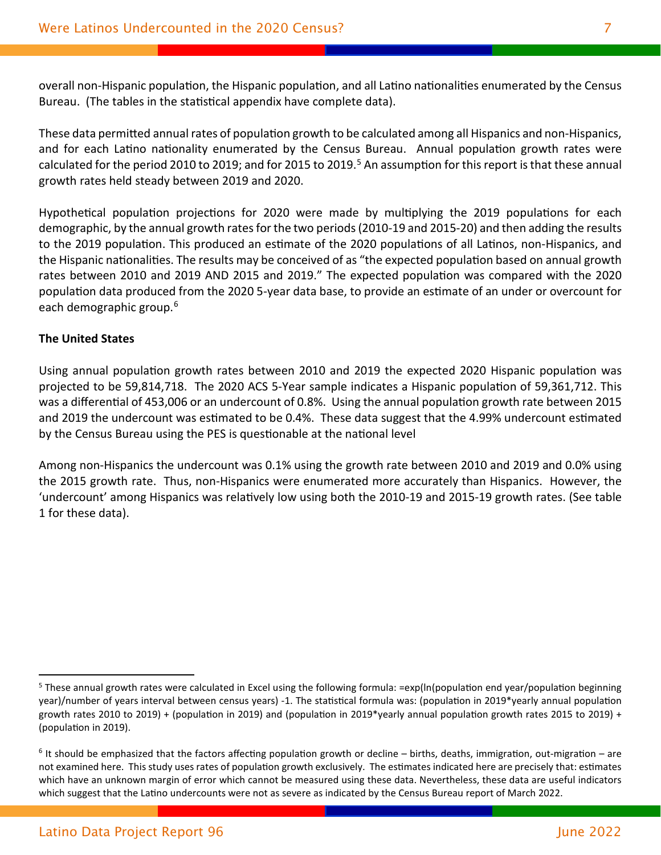overall non-Hispanic population, the Hispanic population, and all Latino nationalities enumerated by the Census Bureau. (The tables in the statistical appendix have complete data).

These data permitted annual rates of population growth to be calculated among all Hispanics and non-Hispanics, and for each Latino nationality enumerated by the Census Bureau. Annual population growth rates were calculated for the period 2010 to 2019; and for 201[5](#page-7-0) to 2019.<sup>5</sup> An assumption for this report is that these annual growth rates held steady between 2019 and 2020.

Hypothetical population projections for 2020 were made by multiplying the 2019 populations for each demographic, by the annual growth ratesfor the two periods (2010-19 and 2015-20) and then adding the results to the 2019 population. This produced an estimate of the 2020 populations of all Latinos, non-Hispanics, and the Hispanic nationalities. The results may be conceived of as "the expected population based on annual growth rates between 2010 and 2019 AND 2015 and 2019." The expected population was compared with the 2020 population data produced from the 2020 5-year data base, to provide an estimate of an under or overcount for each demographic group. [6](#page-7-1)

#### **The United States**

Using annual population growth rates between 2010 and 2019 the expected 2020 Hispanic population was projected to be 59,814,718. The 2020 ACS 5-Year sample indicates a Hispanic population of 59,361,712. This was a differential of 453,006 or an undercount of 0.8%. Using the annual population growth rate between 2015 and 2019 the undercount was estimated to be 0.4%. These data suggest that the 4.99% undercount estimated by the Census Bureau using the PES is questionable at the national level

Among non-Hispanics the undercount was 0.1% using the growth rate between 2010 and 2019 and 0.0% using the 2015 growth rate. Thus, non-Hispanics were enumerated more accurately than Hispanics. However, the 'undercount' among Hispanics was relatively low using both the 2010-19 and 2015-19 growth rates. (See table 1 for these data).

<span id="page-7-0"></span> $5$  These annual growth rates were calculated in Excel using the following formula: =exp(In(population end year/population beginning year)/number of years interval between census years) -1. The statistical formula was: (population in 2019\*yearly annual population growth rates 2010 to 2019) + (population in 2019) and (population in 2019\*yearly annual population growth rates 2015 to 2019) + (population in 2019).

<span id="page-7-1"></span> $6$  It should be emphasized that the factors affecting population growth or decline – births, deaths, immigration, out-migration – are not examined here. This study uses rates of population growth exclusively. The estimates indicated here are precisely that: estimates which have an unknown margin of error which cannot be measured using these data. Nevertheless, these data are useful indicators which suggest that the Latino undercounts were not as severe as indicated by the Census Bureau report of March 2022.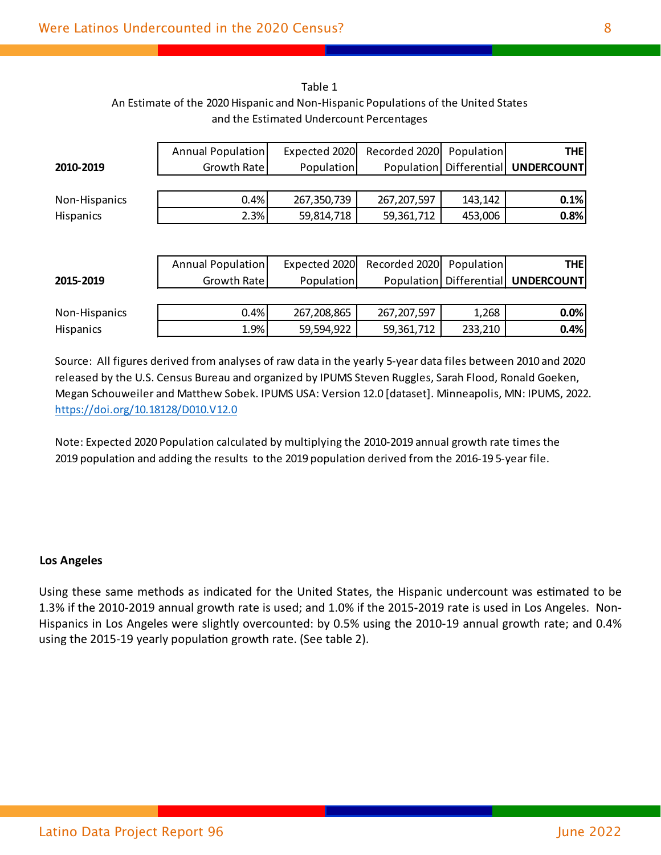| Table 1                                                                            |
|------------------------------------------------------------------------------------|
| An Estimate of the 2020 Hispanic and Non-Hispanic Populations of the United States |
| and the Estimated Undercount Percentages                                           |

|                  | Annual Population | Expected 2020 | Recorded 2020 | Population              | <b>THE</b>        |
|------------------|-------------------|---------------|---------------|-------------------------|-------------------|
| 2010-2019        | Growth Rate       | Population    |               | Population Differential | <b>UNDERCOUNT</b> |
|                  |                   |               |               |                         |                   |
| Non-Hispanics    | 0.4%              | 267,350,739   | 267, 207, 597 | 143,142                 | 0.1%              |
| Hispanics        | 2.3%              | 59,814,718    | 59,361,712    | 453,006                 | 0.8%              |
|                  |                   |               |               |                         |                   |
|                  |                   |               |               |                         |                   |
|                  | Annual Population | Expected 2020 | Recorded 2020 | Population              | <b>THE</b>        |
| 2015-2019        | Growth Rate       | Population    |               | Population Differential | <b>UNDERCOUNT</b> |
|                  |                   |               |               |                         |                   |
| Non-Hispanics    | 0.4%              | 267,208,865   | 267, 207, 597 | 1,268                   | 0.0%              |
| <b>Hispanics</b> | 1.9%              | 59,594,922    | 59,361,712    | 233,210                 | 0.4%              |

Note: Expected 2020 Population calculated by multiplying the 2010-2019 annual growth rate times the 2019 population and adding the results to the 2019 population derived from the 2016-19 5-year file.

#### **Los Angeles**

Using these same methods as indicated for the United States, the Hispanic undercount was estimated to be 1.3% if the 2010-2019 annual growth rate is used; and 1.0% if the 2015-2019 rate is used in Los Angeles. Non-Hispanics in Los Angeles were slightly overcounted: by 0.5% using the 2010-19 annual growth rate; and 0.4% using the 2015-19 yearly population growth rate. (See table 2).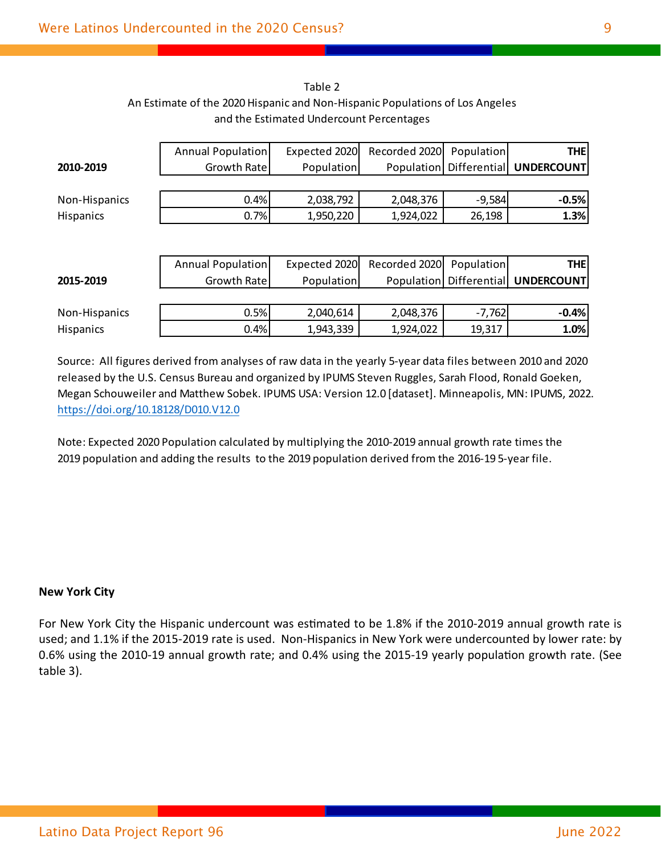|                  | Annual Population | Expected 2020 | Recorded 2020 | Population   | <b>THE</b>              |
|------------------|-------------------|---------------|---------------|--------------|-------------------------|
| 2010-2019        | Growth Rate       | Population    | Population    |              | Differential UNDERCOUNT |
|                  |                   |               |               |              |                         |
| Non-Hispanics    | 0.4%              | 2,038,792     | 2,048,376     | $-9,584$     | $-0.5%$                 |
| Hispanics        | 0.7%              | 1,950,220     | 1,924,022     | 26,198       | 1.3%                    |
|                  |                   |               |               |              |                         |
|                  |                   |               |               |              |                         |
|                  | Annual Population | Expected 2020 | Recorded 2020 | Population   | <b>THE</b>              |
| 2015-2019        | Growth Rate       | Population    | Population    | Differential | <b>UNDERCOUNT</b>       |
|                  |                   |               |               |              |                         |
| Non-Hispanics    | 0.5%              | 2,040,614     | 2,048,376     | $-7,762$     | $-0.4%$                 |
| <b>Hispanics</b> | 0.4%              | 1,943,339     | 1,924,022     | 19,317       | 1.0%                    |

Table 2 An Estimate of the 2020 Hispanic and Non-Hispanic Populations of Los Angeles and the Estimated Undercount Percentages

Note: Expected 2020 Population calculated by multiplying the 2010-2019 annual growth rate times the 2019 population and adding the results to the 2019 population derived from the 2016-19 5-year file.

#### **New York City**

For New York City the Hispanic undercount was estimated to be 1.8% if the 2010-2019 annual growth rate is used; and 1.1% if the 2015-2019 rate is used. Non-Hispanics in New York were undercounted by lower rate: by 0.6% using the 2010-19 annual growth rate; and 0.4% using the 2015-19 yearly population growth rate. (See table 3).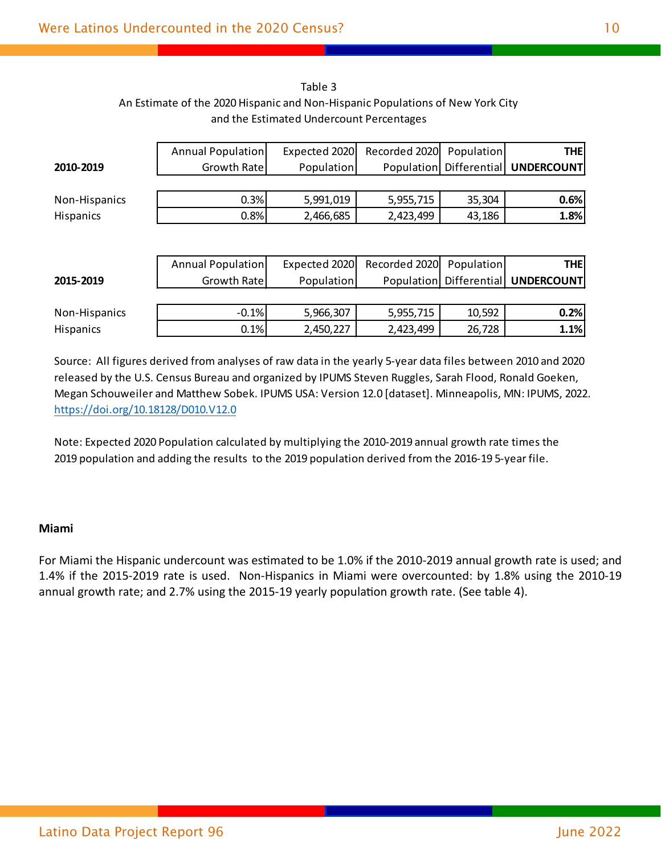|                  | Annual Population | Expected 2020 | Recorded 2020 | Population   | <b>THE</b>                             |
|------------------|-------------------|---------------|---------------|--------------|----------------------------------------|
| 2010-2019        | Growth Rate       | Population    | Population    | Differential | <b>UNDERCOUNT</b>                      |
|                  |                   |               |               |              |                                        |
| Non-Hispanics    | 0.3%              | 5,991,019     | 5,955,715     | 35,304       | 0.6%                                   |
| Hispanics        | 0.8%              | 2,466,685     | 2,423,499     | 43,186       | 1.8%                                   |
|                  |                   |               |               |              |                                        |
|                  |                   |               |               |              |                                        |
|                  | Annual Population | Expected 2020 | Recorded 2020 | Population   | <b>THE</b>                             |
| 2015-2019        | Growth Rate       | Population    |               |              | Population   Differential   UNDERCOUNT |
|                  |                   |               |               |              |                                        |
| Non-Hispanics    | $-0.1%$           | 5,966,307     | 5,955,715     | 10,592       | 0.2%                                   |
| <b>Hispanics</b> | 0.1%              | 2,450,227     | 2,423,499     | 26,728       | 1.1%                                   |

Table 3 An Estimate of the 2020 Hispanic and Non-Hispanic Populations of New York City and the Estimated Undercount Percentages

Note: Expected 2020 Population calculated by multiplying the 2010-2019 annual growth rate times the 2019 population and adding the results to the 2019 population derived from the 2016-19 5-year file.

#### **Miami**

For Miami the Hispanic undercount was estimated to be 1.0% if the 2010-2019 annual growth rate is used; and 1.4% if the 2015-2019 rate is used. Non-Hispanics in Miami were overcounted: by 1.8% using the 2010-19 annual growth rate; and 2.7% using the 2015-19 yearly population growth rate. (See table 4).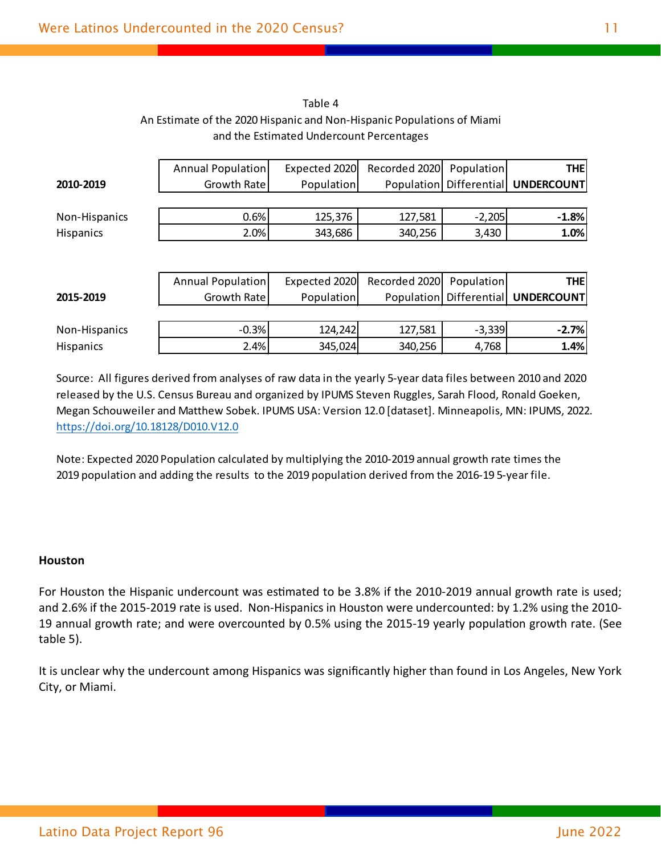|                  | Annual Population | Expected 2020 | Recorded 2020     | Population   | <b>THE</b>        |
|------------------|-------------------|---------------|-------------------|--------------|-------------------|
| 2010-2019        | Growth Rate       | Population    | Population        | Differential | <b>UNDERCOUNT</b> |
|                  |                   |               |                   |              |                   |
| Non-Hispanics    | 0.6%              | 125,376       | 127,581           | $-2,205$     | $-1.8%$           |
| Hispanics        | 2.0%              | 343,686       | 340,256           | 3,430        | 1.0%              |
|                  |                   |               |                   |              |                   |
|                  |                   |               |                   |              |                   |
|                  | Annual Population | Expected 2020 | Recorded 2020     | Population   | <b>THE</b>        |
| 2015-2019        | Growth Rate       | Population    | <b>Population</b> | Differential | <b>UNDERCOUNT</b> |
|                  |                   |               |                   |              |                   |
| Non-Hispanics    | $-0.3%$           | 124,242       | 127,581           | $-3,339$     | $-2.7%$           |
| <b>Hispanics</b> | 2.4%              | 345,024       | 340,256           | 4,768        | 1.4%              |

#### Table 4 An Estimate of the 2020 Hispanic and Non-Hispanic Populations of Miami and the Estimated Undercount Percentages

Source: All figures derived from analyses of raw data in the yearly 5-year data files between 2010 and 2020 released by the U.S. Census Bureau and organized by IPUMS Steven Ruggles, Sarah Flood, Ronald Goeken, Megan Schouweiler and Matthew Sobek. IPUMS USA: Version 12.0 [dataset]. Minneapolis, MN: IPUMS, 2022. https://doi.org/10.18128/D010.V12.0

Note: Expected 2020 Population calculated by multiplying the 2010-2019 annual growth rate times the 2019 population and adding the results to the 2019 population derived from the 2016-19 5-year file.

#### **Houston**

For Houston the Hispanic undercount was estimated to be 3.8% if the 2010-2019 annual growth rate is used; and 2.6% if the 2015-2019 rate is used. Non-Hispanics in Houston were undercounted: by 1.2% using the 2010- 19 annual growth rate; and were overcounted by 0.5% using the 2015-19 yearly population growth rate. (See table 5).

It is unclear why the undercount among Hispanics was significantly higher than found in Los Angeles, New York City, or Miami.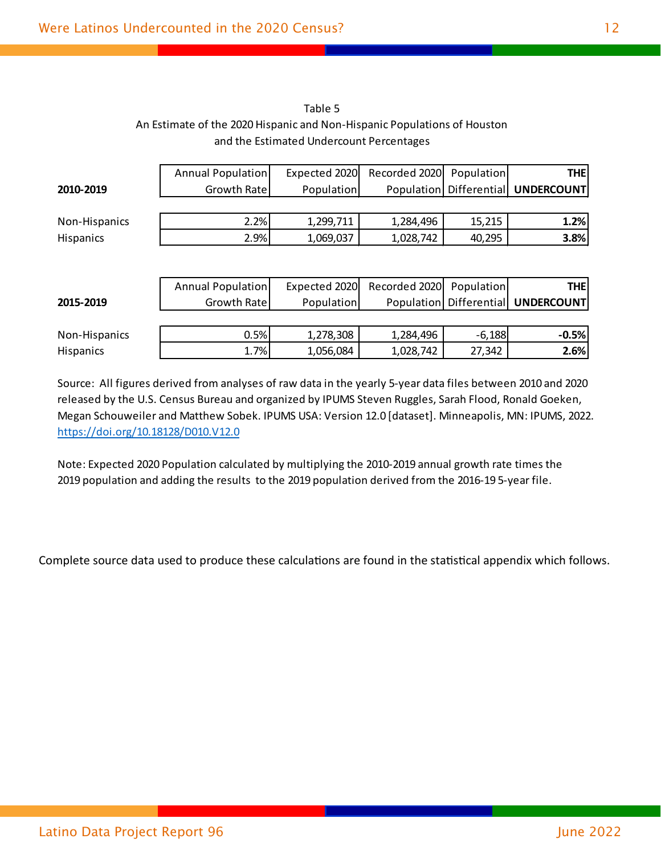| Table 5                                                                  |
|--------------------------------------------------------------------------|
| An Estimate of the 2020 Hispanic and Non-Hispanic Populations of Houston |
| and the Estimated Undercount Percentages                                 |

|                  | Annual Population | Expected 2020 | Recorded 2020 | Population   | <b>THE</b>        |
|------------------|-------------------|---------------|---------------|--------------|-------------------|
| 2010-2019        | Growth Rate       | Population    | Population    | Differential | <b>UNDERCOUNT</b> |
|                  |                   |               |               |              |                   |
| Non-Hispanics    | 2.2%              | 1,299,711     | 1,284,496     | 15,215       | 1.2%              |
| <b>Hispanics</b> | 2.9%              | 1,069,037     | 1,028,742     | 40,295       | 3.8%              |
|                  |                   |               |               |              |                   |
|                  |                   |               |               |              |                   |
|                  | Annual Population | Expected 2020 | Recorded 2020 | Population   | <b>THE</b>        |
| 2015-2019        | Growth Rate       | Population    | Population    | Differential | <b>UNDERCOUNT</b> |
|                  |                   |               |               |              |                   |
| Non-Hispanics    | 0.5%              | 1,278,308     | 1,284,496     | $-6,188$     | $-0.5%$           |
| Hispanics        | 1.7%              | 1,056,084     | 1,028,742     | 27,342       | 2.6%              |

Note: Expected 2020 Population calculated by multiplying the 2010-2019 annual growth rate times the 2019 population and adding the results to the 2019 population derived from the 2016-19 5-year file.

Complete source data used to produce these calculations are found in the statistical appendix which follows.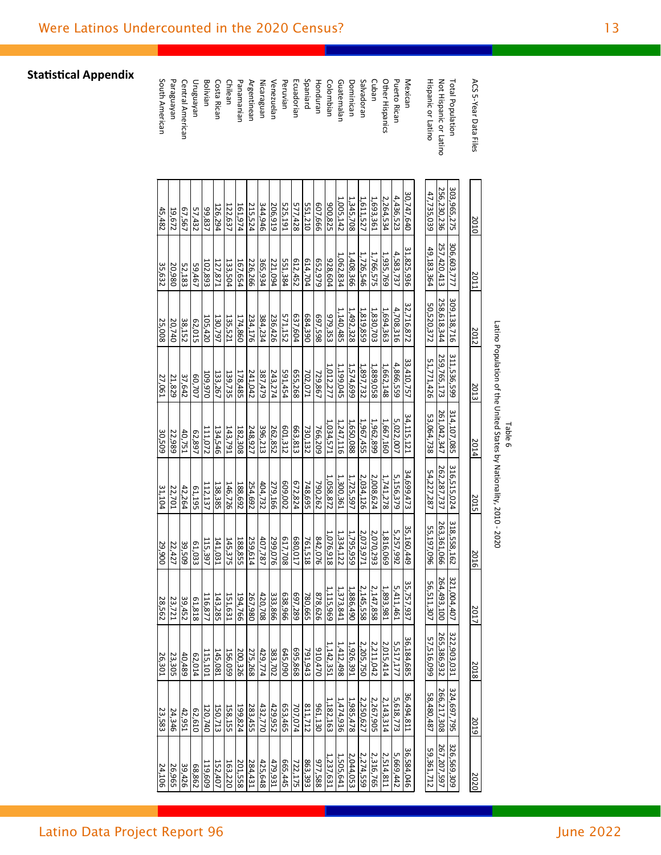| ACS 5-Year Data Files     | 2010        | 2011           | 2012        | 2013        | 2014        | 2015        | 2016          | 2017        | 2018               | 2019        | 2020        |
|---------------------------|-------------|----------------|-------------|-------------|-------------|-------------|---------------|-------------|--------------------|-------------|-------------|
| Total Population          | 303,965,275 | 306,603,777    | 309,138,716 | 311,536,599 | 314,107,085 | 316,515,024 | 318,558,162   | 321,004,407 | 322,903,031        | 324,697,795 | 326,569,309 |
| Not Hispanic or Latino    | 256,230,236 | 257,420,413    | 258,618,344 | 259,765,173 | 261,042,347 | 262,287,737 | 263,361,066   | 264,493,100 | 265,386,932        | 266,217,308 | 267,207,597 |
| <b>Hispanic or Latino</b> | 47,735,039  | 49,183,364     | 50,520,372  | 51,771,426  | 53,064,738  | 54,227,287  | 55,197,096    | 56,511,307  | 57,516,099         | 58,480,487  | 59,361,712  |
|                           |             |                |             |             |             |             |               |             |                    |             |             |
| Mexican                   | 30,747,640  | 31,825,936     | 32,716,872  | 33,410,757  | 34,115,121  | 34,699,473  | 35,160,449    | 35,757,937  | 36,184,685         | 36,494,811  | 36,584,046  |
| <b>Puerto Rican</b>       | 4,436,523   | 4,583,737      | 4,708,316   | 4,866,559   | 5,022,007   | 5,156,379   | 5,257,992     | 5,411,461   | 5,517,177          | 5,618,773   | 5,669,442   |
| Other Hispanics           | 2,264,534   | 1,935,769      | 1,694,363   | 1,662,148   | 1,667,160   | 1,741,278   | 1,816,069     | 1,893,981   | 2,015,414          | 2,143,314   | 2,514,811   |
| Cuban                     | 1,693,361   | 1,766,575      | 1,830,703   | 1,889,058   | 1,962,899   | 2,008,624   | 2,070,293     | 2,147,858   | 2,211,042          | 2,267,905   | 2,316,765   |
| Salvadoran                | 1,611,527   | 1,726,546      | 1,819,859   | 1,897,732   | 1,967,455   | 2,034,126   | 2,073,971     | 2,145,558   | 2,205,750          | 2,250,627   | 2,274,559   |
| Dominican                 | 1,345,708   | 1,408,366      | 1,492,328   | 1,574,699   | 1,650,088   | 1,725,597   | 1,795,959     | 1,886,490   | 1,926,391          | 1,985,478   | 2,044,053   |
| Guatemalan                | 1,005,142   | 1,062,834      | 1,140,485   | 1,199,045   | 1,247,116   | 1,300,361   | 1,334,122     | 1,373,841   | 1,412,498          | 1,474,936   | 1,505,641   |
| <b>Colombian</b>          | 900,825     | 928,604        | 979,355     | 1,012,277   | 1,034,571   | 1,058,872   | 1,076,918     | 1,115,969   | 1,142,351          | 1,182,163   | 1,237,631   |
| Honduran                  | 607,666     | <b>652,979</b> | 865'68      | 729,867     | 766,209     | 790,262     | 842,076       | 878,626     | 910,470            | 961,130     | 977,588     |
| Spaniard                  | 551,210     | 614,704        | 684,390     | 702,071     | 730,132     | 748,695     | 761,518       | 780,665     | 791,943            | 811,712     | 863,393     |
| Ecuadorian                | 577,428     | 612,452        | 637,604     | 655,268     | 663,813     | 672,824     | 680,017       | 697,289     | 695,868            | 707,074     | 722,175     |
| Peruvian                  | 525,191     | 551,384        | 571,152     | 591,454     | 601,312     | 609,002     | 617,708       | 638,966     | 645,090            | 653,465     | 665,445     |
| Venezuelan                | 206,919     | 221,094        | 236,426     | 243,274     | 262,852     | 279,166     | 299,076       | 333,866     | 383,702            | 429,952     | 479,931     |
| Nicaraguan                | 344,946     | 365,934        | 384,234     | 387,479     | 396,213     | 404,732     | 407,787       | 420,708     | 429,774            | 432,770     | 425,648     |
| <b>Argentinean</b>        | 215,524     | 226,266        | 234,176     | 241,042     | 248,927     | 254,692     | 259,614       | 267,980     | 275,268            | 283,455     | 284,431     |
| Panamanian                | 161,974     | 167,654        | 174,860     | 178,485     | 182,308     | 188,692     | 188,855       | 194,766     | 200,326            | 199,824     | 201,558     |
| Chilean                   | 122,637     | 133,504        | 135,521     | 139,735     | 143,791     | 146,726     | 145,375       | 151,631     | 156,059            | 158,155     | 163,220     |
| Costa Rican               | 126,294     | 127,871        | 130,797     | 133,267     | 134,546     | 138,385     | 141,031       | 143,285     | 145,081            | 150,713     | 152,407     |
| Bolivian                  | 99,837      | 102,893        | 105,420     | 109,970     | 111,072     | 112,137     | 115,397       | 116,877     | 115,101            | 120,740     | 119,609     |
| Uruguayan                 | 57,432      | 59,467         | 62,015      | 60,707      | 62,897      | 61,195      | 61,033        | 61,818      | 62,014             | 62,610      | 68,862      |
| Central American          | 67,567      | 52,183         | 38,152      | 37,642      | 40,751      | 42,264      | <b>99,509</b> | 39,452      | $\frac{40,489}{2}$ | 42,951      | 39,426      |
| Paraguayan                | 19,672      | 20,980         | 20,740      | 21,829      | 22,989      | 22,701      | 22,427        | 23,721      | 23,305             | 24,346      | 26,965      |
| South American            | 45,482      | 35,632         | 25,008      | 27,061      | 30,509      | 31,104      | 29,900        | 28,562      | 26,301             | 23,583      | 24,106      |

**Statistical Appendix** 

**June 2022**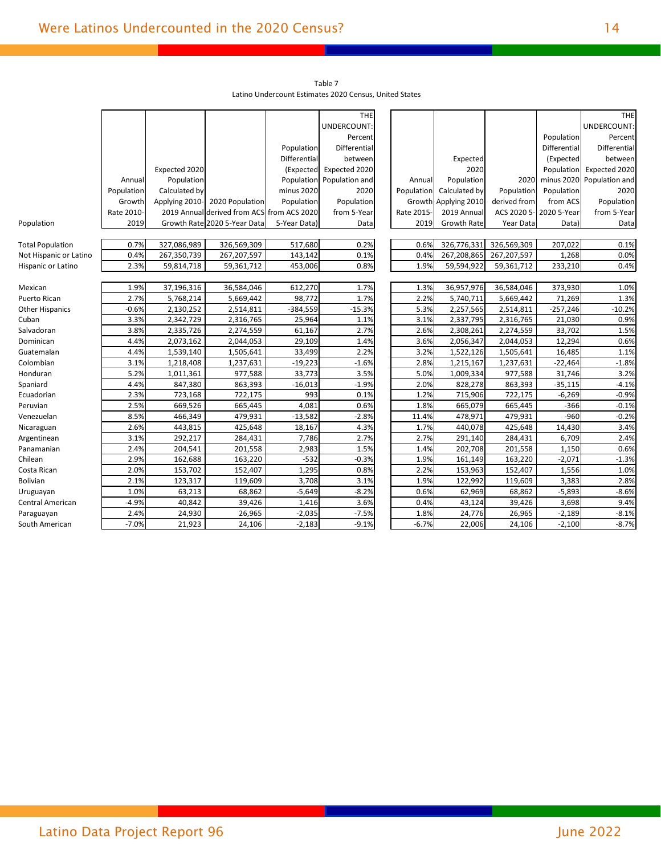|                         |            |                |                                            |              | <b>THE</b>     |            |                      |              |              | <b>THE</b>     |
|-------------------------|------------|----------------|--------------------------------------------|--------------|----------------|------------|----------------------|--------------|--------------|----------------|
|                         |            |                |                                            |              | UNDERCOUNT:    |            |                      |              |              | UNDERCOUNT:    |
|                         |            |                |                                            |              | Percent        |            |                      |              | Population   | Percent        |
|                         |            |                |                                            | Population   | Differential   |            |                      |              | Differential | Differential   |
|                         |            |                |                                            | Differential | between        |            | Expected             |              | (Expected    | between        |
|                         |            | Expected 2020  |                                            | (Expected    | Expected 2020  |            | 2020                 |              | Population   | Expected 2020  |
|                         | Annual     | Population     |                                            | Population   | Population and | Annual     | Population           | 2020         | minus 2020   | Population and |
|                         | Population | Calculated by  |                                            | minus 2020   | 2020           | Population | Calculated by        | Population   | Population   | 2020           |
|                         | Growth     | Applying 2010- | 2020 Population                            | Population   | Population     |            | Growth Applying 2010 | derived from | from ACS     | Population     |
|                         | Rate 2010- |                | 2019 Annual derived from ACS from ACS 2020 |              | from 5-Year    | Rate 2015- | 2019 Annual          | ACS 2020 5-  | 2020 5-Year  | from 5-Year    |
| Population              | 2019       |                | Growth Rate 2020 5-Year Data               | 5-Year Data) | Data           | 2019       | <b>Growth Rate</b>   | Year Data    | Data)        | Data           |
|                         |            |                |                                            |              |                |            |                      |              |              |                |
| <b>Total Population</b> | 0.7%       | 327,086,989    | 326,569,309                                | 517,680      | 0.2%           | 0.6%       | 326,776,331          | 326,569,309  | 207,022      | 0.1%           |
| Not Hispanic or Latino  | 0.4%       | 267,350,739    | 267,207,597                                | 143,142      | 0.1%           | 0.4%       | 267,208,865          | 267,207,597  | 1,268        | 0.0%           |
| Hispanic or Latino      | 2.3%       | 59,814,718     | 59,361,712                                 | 453,006      | 0.8%           | 1.9%       | 59,594,922           | 59,361,712   | 233,210      | 0.4%           |
|                         |            |                |                                            |              |                |            |                      |              |              |                |
| Mexican                 | 1.9%       | 37,196,316     | 36,584,046                                 | 612,270      | 1.7%           | 1.3%       | 36,957,976           | 36,584,046   | 373,930      | 1.0%           |
| Puerto Rican            | 2.7%       | 5,768,214      | 5,669,442                                  | 98,772       | 1.7%           | 2.2%       | 5,740,711            | 5,669,442    | 71,269       | 1.3%           |
| <b>Other Hispanics</b>  | $-0.6%$    | 2,130,252      | 2,514,811                                  | $-384,559$   | $-15.3%$       | 5.3%       | 2,257,565            | 2,514,811    | $-257,246$   | $-10.2%$       |
| Cuban                   | 3.3%       | 2,342,729      | 2,316,765                                  | 25,964       | 1.1%           | 3.1%       | 2,337,795            | 2,316,765    | 21,030       | 0.9%           |
| Salvadoran              | 3.8%       | 2,335,726      | 2,274,559                                  | 61,167       | 2.7%           | 2.6%       | 2,308,261            | 2,274,559    | 33,702       | 1.5%           |
| Dominican               | 4.4%       | 2,073,162      | 2,044,053                                  | 29,109       | 1.4%           | 3.6%       | 2,056,347            | 2,044,053    | 12,294       | 0.6%           |
| Guatemalan              | 4.4%       | 1,539,140      | 1,505,641                                  | 33,499       | 2.2%           | 3.2%       | 1,522,126            | 1,505,641    | 16,485       | 1.1%           |
| Colombian               | 3.1%       | 1,218,408      | 1,237,631                                  | $-19,223$    | $-1.6%$        | 2.8%       | 1,215,167            | 1,237,631    | $-22,464$    | $-1.8%$        |
| Honduran                | 5.2%       | 1,011,361      | 977,588                                    | 33,773       | 3.5%           | 5.0%       | 1,009,334            | 977,588      | 31,746       | 3.2%           |
| Spaniard                | 4.4%       | 847,380        | 863,393                                    | $-16,013$    | $-1.9%$        | 2.0%       | 828,278              | 863,393      | $-35,115$    | $-4.1%$        |
| Ecuadorian              | 2.3%       | 723,168        | 722,175                                    | 993          | 0.1%           | 1.2%       | 715,906              | 722,175      | $-6,269$     | $-0.9%$        |
| Peruvian                | 2.5%       | 669,526        | 665,445                                    | 4,081        | 0.6%           | 1.8%       | 665,079              | 665,445      | $-366$       | $-0.1%$        |
| Venezuelan              | 8.5%       | 466,349        | 479,931                                    | $-13,582$    | $-2.8%$        | 11.4%      | 478,971              | 479,931      | $-960$       | $-0.2%$        |
| Nicaraguan              | 2.6%       | 443,815        | 425,648                                    | 18,167       | 4.3%           | 1.7%       | 440,078              | 425,648      | 14,430       | 3.4%           |
| Argentinean             | 3.1%       | 292,217        | 284,431                                    | 7,786        | 2.7%           | 2.7%       | 291,140              | 284,431      | 6,709        | 2.4%           |
| Panamanian              | 2.4%       | 204,541        | 201,558                                    | 2,983        | 1.5%           | 1.4%       | 202,708              | 201,558      | 1,150        | 0.6%           |
| Chilean                 | 2.9%       | 162,688        | 163,220                                    | $-532$       | $-0.3%$        | 1.9%       | 161,149              | 163,220      | $-2,071$     | $-1.3%$        |
| Costa Rican             | 2.0%       | 153,702        | 152,407                                    | 1,295        | 0.8%           | 2.2%       | 153,963              | 152,407      | 1,556        | 1.0%           |
| <b>Bolivian</b>         | 2.1%       | 123,317        | 119,609                                    | 3,708        | 3.1%           | 1.9%       | 122,992              | 119,609      | 3,383        | 2.8%           |
| Uruguayan               | 1.0%       | 63,213         | 68,862                                     | $-5,649$     | $-8.2%$        | 0.6%       | 62,969               | 68,862       | $-5,893$     | $-8.6%$        |
| Central American        | $-4.9%$    | 40,842         | 39,426                                     | 1,416        | 3.6%           | 0.4%       | 43,124               | 39,426       | 3,698        | 9.4%           |
| Paraguayan              | 2.4%       | 24,930         | 26,965                                     | $-2,035$     | $-7.5%$        | 1.8%       | 24,776               | 26,965       | $-2,189$     | $-8.1%$        |
| South American          | $-7.0%$    | 21,923         | 24,106                                     | $-2,183$     | $-9.1%$        | $-6.7%$    | 22,006               | 24,106       | $-2,100$     | $-8.7%$        |
|                         |            |                |                                            |              |                |            |                      |              |              |                |

Table 7 Latino Undercount Estimates 2020 Census, United States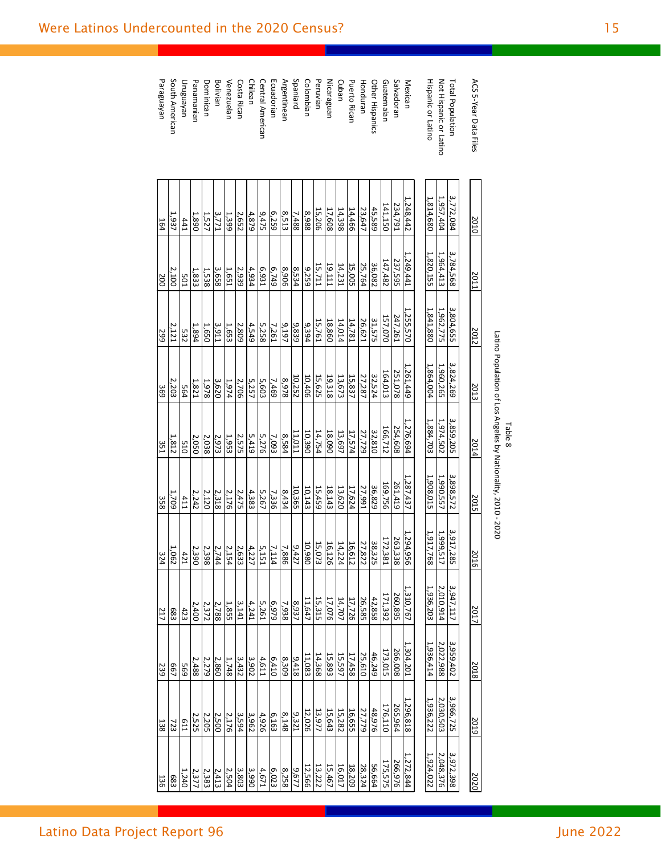| ACS 5-Year Data Files     | 2010      | 2011       | 2012      | 2013      | 2014      | 2015      | 2016                             | 2017      | 2018      | 2019      | 2020      |
|---------------------------|-----------|------------|-----------|-----------|-----------|-----------|----------------------------------|-----------|-----------|-----------|-----------|
|                           |           |            |           |           |           |           |                                  |           |           |           |           |
| Total Population          | 3,772,084 | 3,784,568  | 3,804,655 | 3,824,269 | 3,859,205 | 3,898,572 | 3,917,28<br>U                    | 3,947,117 | 3,959,402 | 3,966,725 | 3,972,398 |
| Not Hispanic or Latino    | 1,957,404 | 1,964,413  | 1,962,775 | 1,960,265 | 1,974,502 | 1,990,557 | 1,999,51                         | 2,010,914 | 2,022,988 | 2,030,503 | 2,048,376 |
| <b>Hispanic or Latino</b> | 1,814,680 | 1,820,155  | 1,841,880 | 1,864,004 | 1,884,703 | 1,908,015 | 1,917,76<br>∞                    | 1,936,203 | 1,936,414 | 1,936,222 | 1,924,022 |
|                           |           |            |           |           |           |           |                                  |           |           |           |           |
| Mexican                   | 1,248,442 | 1,249,441  | 1,255,570 | 1,261,449 | 1,276,694 | 1,287,437 | 1,294,95<br>თ                    | 1,310,767 | 1,304,201 | 1,296,818 | 1,272,844 |
| Salvadoran                | 234,791   | 237,595    | 247,261   | 251,078   | 254,608   | 261,419   | 263,33<br>∞                      | 260,895   | 266,008   | 265,964   | 266,976   |
| Guatemalan                | 141,150   | 147,482    | 157,070   | 164,013   | 166,712   | 169,756   | 172,38:                          | 171,392   | 173,015   | 176,110   | 175,575   |
| Other Hispanics           | 45,589    | 36,082     | 31,575    | 32,524    | 32,810    | 36,829    | 38,32                            | 42,858    | 46,249    | 48,976    | 56,664    |
| Honduran                  | 23,647    | 25,764     | 26,621    | 27,287    | 27,729    | 27,991    | 27,82                            | 26,585    | 25,610    | 27,779    | 28,324    |
| <b>Puerto Rican</b>       | 14,466    | 15,005     | 14,781    | 15,837    | 17,574    | 17,624    | 16,61                            | 17,726    | 17,458    | 16,655    | 18,209    |
| Cuban                     | 14,398    | 14,231     | 14,014    | 13,673    | 13,697    | 13,620    | $\mathbf 4$                      | 14,707    | 15,597    | 15,282    | 16,017    |
| Nicaraguan                | 17,608    | 19,111     | 18,860    | 19,318    | 18,090    | 18,143    | $\frac{14,22}{16,12}$<br>σ٦      | 17,076    | 15,893    | 15,643    | 15,467    |
| Peruvian                  | 15,206    | 15,711     | 15,761    | 15,625    | 14,754    | 15,459    | 15,07<br>ω                       | 15,315    | 14,368    | 13,977    | 13,222    |
| Colombian                 | 8968      | 9,259      | 9,394     | 10,406    | 10,390    | 10,143    | 10,980                           | 11,647    | 11,083    | 12,026    | 12,566    |
| Spaniard                  | 7,488     | 8,534      | 9,839     | 10,252    | 11,011    | 10,365    | 9,42                             | 8,937     | 9,418     | 9,321     | 9,677     |
| <b>Argentinean</b>        | 8,513     | 906'8      | 9,197     | 8798      | 8,584     | 8,434     | 7,886                            | 7,938     | 8,309     | 8,148     | 8,258     |
| Ecuadorian                | 6,259     | 6,749      | 7,261     | 7,469     | 7,093     | 7,336     | 7,11<br>$\overline{\phantom{a}}$ | 626'9     | 6,410     | 6,163     | 6,023     |
| Central American          | 9,475     | ES6'9      | 5,258     | 5,603     | 5,276     | 5,267     | 5,15                             | 5,261     | 4,611     | 4,926     | 4,671     |
| Chilean                   | 4,879     | 4,934      | 4,549     | 5,257     | 5,419     | 4,383     | 4,22                             | 4,241     | 3,902     | 3,962     | 3,990     |
| Costa Rican               | 2,652     | 2,939      | 2,809     | 2,706     | 2,575     | 2,475     | 2,63                             | 3,141     | 3,432     | 3,594     | 3,803     |
| Venezuelan                | 1,399     | 1,651      | 1,653     | 1,974     | 1,953     | 2,176     | 2,15<br>4                        | 1,855     | 1,748     | 2,176     | 2,504     |
| Bolivian                  | 3,771     | 3,658      | 3,911     | 3,620     | 2,973     | 2,318     | 2,74.                            | 2,788     | 2,860     | 2,500     | 2,413     |
| Dominican                 | 1,527     | 1,538      | 1,650     | 1,978     | 2,038     | 2,120     | 2,39<br>∞                        | 2,372     | 2,279     | 2,205     | 2,383     |
| Panamanian                | 1,890     | 1,833      | 1,894     | 1821      | 2,050     | 2,242     | 2,390                            | 2,400     | 2,488     | 2,525     | 2,377     |
| Unguayan                  | 141       | <b>501</b> | 532       | 564       | 015       | 411       | 42                               | 423       | 695       | E11       | 1,240     |
| South American            | 1,937     | 2,100      | 2,121     | 2,203     | 1,812     | 1,709     | 1,06<br>N                        | 683       | L99       | 723       | 683       |
| Paraguayan                | 164       | 200        | 299       | 369       | 351       | 358       | 324                              | 217       | 239       | 138       | 136       |
|                           |           |            |           |           |           |           |                                  |           |           |           |           |

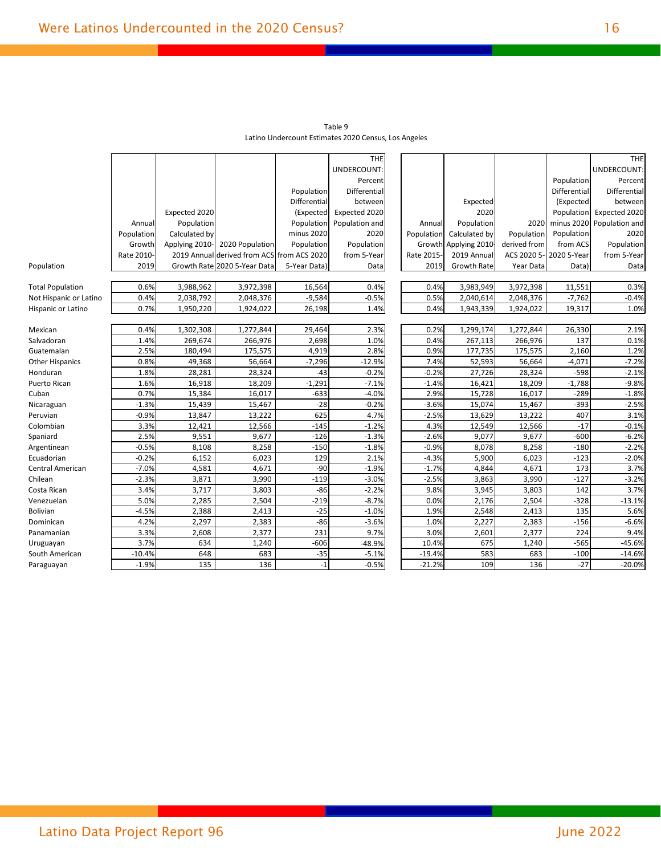|                         |            |                |                                            |              | <b>THE</b>     |            |                      |              |              | THE            |
|-------------------------|------------|----------------|--------------------------------------------|--------------|----------------|------------|----------------------|--------------|--------------|----------------|
|                         |            |                |                                            |              | UNDERCOUNT:    |            |                      |              |              | UNDERCOUNT:    |
|                         |            |                |                                            |              | Percent        |            |                      |              | Population   | Percent        |
|                         |            |                |                                            | Population   | Differential   |            |                      |              | Differential | Differential   |
|                         |            |                |                                            | Differential | between        |            | Expected             |              | (Expected    | between        |
|                         |            | Expected 2020  |                                            | (Expected    | Expected 2020  |            | 2020                 |              | Population   | Expected 2020  |
|                         | Annual     | Population     |                                            | Population   | Population and | Annual     | Population           | 2020         | minus 2020   | Population and |
|                         | Population | Calculated by  |                                            | minus 2020   | 2020           | Population | Calculated by        | Population   | Population   | 2020           |
|                         | Growth     | Applying 2010- | 2020 Population                            | Population   | Population     |            | Growth Applying 2010 | derived from | from ACS     | Population     |
|                         | Rate 2010- |                | 2019 Annual derived from ACS from ACS 2020 |              | from 5-Year    | Rate 2015- | 2019 Annual          | ACS 2020 5-  | 2020 5-Year  | from 5-Year    |
| Population              | 2019       |                | Growth Rate 2020 5-Year Data               | 5-Year Data) | Data           | 2019       | Growth Rate          | Year Data    | Data)        | Data           |
|                         |            |                |                                            |              |                |            |                      |              |              |                |
| <b>Total Population</b> | 0.6%       | 3,988,962      | 3,972,398                                  | 16,564       | 0.4%           | 0.4%       | 3,983,949            | 3,972,398    | 11,551       | 0.3%           |
| Not Hispanic or Latino  | 0.4%       | 2,038,792      | 2,048,376                                  | $-9,584$     | $-0.5%$        | 0.5%       | 2,040,614            | 2,048,376    | $-7,762$     | $-0.4%$        |
| Hispanic or Latino      | 0.7%       | 1,950,220      | 1,924,022                                  | 26,198       | 1.4%           | 0.4%       | 1,943,339            | 1,924,022    | 19,317       | 1.0%           |
|                         |            |                |                                            |              |                |            |                      |              |              |                |
| Mexican                 | 0.4%       | 1,302,308      | 1,272,844                                  | 29,464       | 2.3%           | 0.2%       | 1,299,174            | 1,272,844    | 26,330       | 2.1%           |
| Salvadoran              | 1.4%       | 269,674        | 266,976                                    | 2,698        | 1.0%           | 0.4%       | 267,113              | 266,976      | 137          | 0.1%           |
| Guatemalan              | 2.5%       | 180,494        | 175,575                                    | 4,919        | 2.8%           | 0.9%       | 177,735              | 175,575      | 2,160        | 1.2%           |
| <b>Other Hispanics</b>  | 0.8%       | 49,368         | 56,664                                     | $-7,296$     | $-12.9%$       | 7.4%       | 52,593               | 56,664       | $-4,071$     | $-7.2%$        |
| Honduran                | 1.8%       | 28,281         | 28,324                                     | $-43$        | $-0.2%$        | $-0.2%$    | 27,726               | 28,324       | $-598$       | $-2.1%$        |
| Puerto Rican            | 1.6%       | 16,918         | 18,209                                     | $-1,291$     | $-7.1%$        | $-1.4%$    | 16,421               | 18,209       | $-1,788$     | $-9.8%$        |
| Cuban                   | 0.7%       | 15,384         | 16,017                                     | $-633$       | $-4.0%$        | 2.9%       | 15,728               | 16,017       | $-289$       | $-1.8%$        |
| Nicaraguan              | $-1.3%$    | 15,439         | 15,467                                     | $-28$        | $-0.2%$        | $-3.6%$    | 15,074               | 15,467       | $-393$       | $-2.5%$        |
| Peruvian                | $-0.9%$    | 13,847         | 13,222                                     | 625          | 4.7%           | $-2.5%$    | 13,629               | 13,222       | 407          | 3.1%           |
| Colombian               | 3.3%       | 12,421         | 12,566                                     | $-145$       | $-1.2%$        | 4.3%       | 12,549               | 12,566       | $-17$        | $-0.1%$        |
| Spaniard                | 2.5%       | 9,551          | 9,677                                      | $-126$       | $-1.3%$        | $-2.6%$    | 9,077                | 9,677        | $-600$       | $-6.2%$        |
| Argentinean             | $-0.5%$    | 8,108          | 8,258                                      | $-150$       | $-1.8%$        | $-0.9%$    | 8,078                | 8,258        | $-180$       | $-2.2%$        |
| Ecuadorian              | $-0.2%$    | 6,152          | 6,023                                      | 129          | 2.1%           | $-4.3%$    | 5,900                | 6,023        | $-123$       | $-2.0%$        |
| Central American        | $-7.0%$    | 4,581          | 4,671                                      | $-90$        | $-1.9%$        | $-1.7%$    | 4,844                | 4,671        | 173          | 3.7%           |
| Chilean                 | $-2.3%$    | 3,871          | 3,990                                      | $-119$       | $-3.0%$        | $-2.5%$    | 3,863                | 3,990        | $-127$       | $-3.2%$        |
| Costa Rican             | 3.4%       | 3,717          | 3,803                                      | $-86$        | $-2.2%$        | 9.8%       | 3,945                | 3,803        | 142          | 3.7%           |
| Venezuelan              | 5.0%       | 2,285          | 2,504                                      | $-219$       | $-8.7%$        | 0.0%       | 2,176                | 2,504        | $-328$       | $-13.1%$       |
| <b>Bolivian</b>         | $-4.5%$    | 2,388          | 2,413                                      | $-25$        | $-1.0%$        | 1.9%       | 2,548                | 2,413        | 135          | 5.6%           |
| Dominican               | 4.2%       | 2,297          | 2,383                                      | $-86$        | $-3.6%$        | 1.0%       | 2,227                | 2,383        | $-156$       | $-6.6%$        |
| Panamanian              | 3.3%       | 2,608          | 2,377                                      | 231          | 9.7%           | 3.0%       | 2,601                | 2,377        | 224          | 9.4%           |
| Uruguayan               | 3.7%       | 634            | 1,240                                      | $-606$       | $-48.9%$       | 10.4%      | 675                  | 1,240        | $-565$       | $-45.6%$       |
| South American          | $-10.4%$   | 648            | 683                                        | $-35$        | $-5.1%$        | $-19.4%$   | 583                  | 683          | $-100$       | $-14.6%$       |
| Paraguayan              | $-1.9%$    | 135            | 136                                        | $-1$         | $-0.5%$        | $-21.2%$   | 109                  | 136          | $-27$        | $-20.0%$       |

Table 9 Latino Undercount Estimates 2020 Census, Los Angeles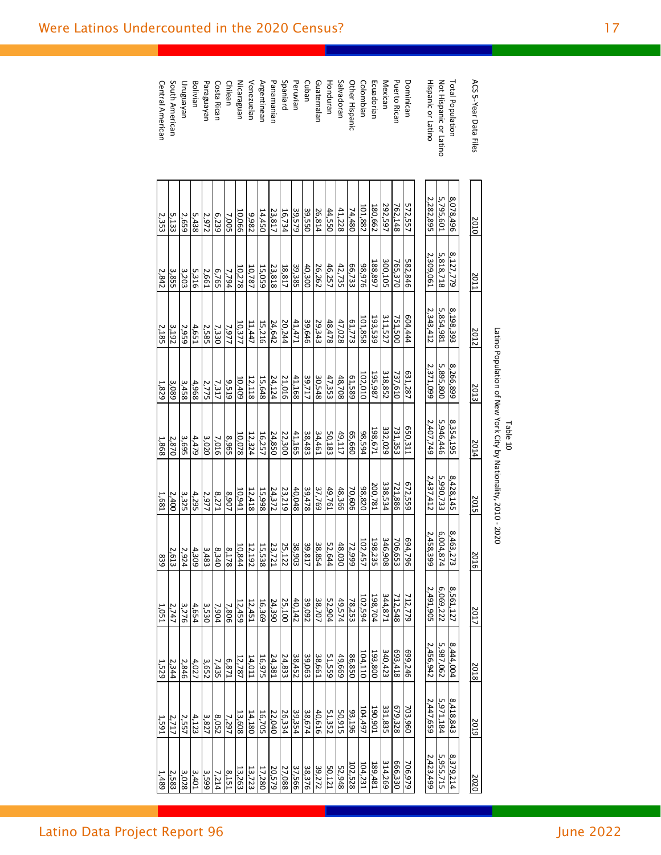| ACS 5-Year Data Files     | 2010      | 2011      | 2012      | 2013      | 2014      | 2015      | 2016           | 2017      | 2018                | 2019      | 2020              |
|---------------------------|-----------|-----------|-----------|-----------|-----------|-----------|----------------|-----------|---------------------|-----------|-------------------|
|                           |           |           |           |           |           |           |                |           |                     |           |                   |
| Total Population          | 8,078,496 | 8,127,779 | 8,198,393 | 8,266,899 | 8,354,195 | 8,428,145 | 8,463,27<br>ω  | 8,561,127 | 8,444,004           | 8,418,843 | 8,379,214         |
| Not Hispanic or Latino    | 5,795,601 | 5,818,718 | 5,854,981 | 5,895,800 | 5,946,446 | 5,990,733 | 6,004,87<br>74 | 6,069,222 | 5,987,062           | 5,971,184 | 5,955,715         |
| <b>Hispanic or Latino</b> | 2,282,895 | 2,309,061 | 2,343,412 | 2,371,099 | 2,407,749 | 2,437,412 | 2,458,39<br>Ğ  | 2,491,905 | 2,456,942           | 2,447,659 | 2,423,499         |
|                           |           |           |           |           |           |           |                |           |                     |           |                   |
| Dominican                 | 572,557   | 582,846   | 604,444   | 631,287   | 650,311   | 672,559   | 694,796        | 712,779   | 699,246             | 703,960   | 706,979           |
| <b>Puerto Rican</b>       | 762,148   | 765,370   | 751,500   | 737,610   | 731,353   | 721,886   | 706,65<br>نت   | 712,548   | 693,418             | 679,328   | 666,330           |
| Mexican                   | 292,597   | 300,105   | 311,527   | 318,852   | 332,029   | 338,534   | 346,90<br>ळ    | 344,871   | $\frac{340,423}{2}$ | 331,835   | 314,269           |
| Ecuadorian                | 180,662   | 188,897   | 193,539   | 195,987   | 198,671   | 200,781   | 198,235        | 198,704   | 193,800             | 190,901   | 189,481           |
| Colombian                 | 101,882   | 92,976    | 101,858   | 102,010   | 98,594    | 98,820    | 102,457        | 102,594   | 104, 110            | 104,497   | 104,231           |
| Other Hispanic            | 74,480    | 66,733    | 61,773    | 61,589    | 099'59    | 70,606    | 72,999         | 78,253    | 86,850              | 99,196    | 102,528           |
| Salvadoran                | 41,228    | 42,735    | 47,028    | 48,708    | 49,117    | 48,366    | 48,030         | 49,574    | 49,669              | 50,915    | 52,948            |
| Honduran                  | 44,550    | 46,257    | 48,478    | 47,353    | 50,183    | 49,761    | 52,64<br>4     | 52,904    | 51,559              | 51,352    | 50,121            |
| Guatemalan                | 26,814    | 26,262    | 29,343    | 30,548    | 34,461    | 37,769    | 38,854         | 38,707    | 38,661              | 40,616    | 39,272            |
| Cuban                     | 39,550    | 40,300    | 39,646    | 39,717    | 38,483    | 39,478    | 39,81<br>⊣     | 39,092    | 39,063              | 38,674    | 38,376            |
| Peruvian                  | 39,579    | 39,385    | 11,471    | 41,168    | 41,165    | 40,048    | 38,903         | 40,142    | 38,452              | 39,354    | 37,566            |
| Spaniard                  | 16,734    | 18,817    | 20,244    | 21,016    | 22,300    | 23,219    | 25,122         | 25,100    | 24,833              | 26,334    | 27,088            |
| Panamanian                | 23,817    | 23,818    | 24,642    | 24,124    | 24,850    | 24,372    | 23,721         | 24,390    | 24,381              | 22,040    | 20,579            |
| <b>Argentinean</b>        | 14,450    | 15,059    | 15,216    | 15,648    | 16,257    | 15,998    | 15,538         | 16,369    | 16,975              | 16,705    | 17,280            |
| Venezuelan                | 2,982     | 10,787    | 11,447    | 12,118    | 12,324    | 12,418    | 12,192         | 12,451    | 14,011              | 14,180    | 13,723            |
| Nicaraguan                | 10,066    | 10,278    | 10,377    | 10,409    | 10,078    | 10,941    | 10,844         | 12,459    | 12,787              | 13,608    | 13,263            |
| Chilean                   | 7,005     | 7,794     | 7,977     | 9,519     | 596'8     | 2,907     | 8,178          | 7,806     | 6,871               | 7,297     | 8,151             |
| Costa Rican               | 6239      | 6,765     | 7,330     | 7,317     | 7,016     | 8,271     | 8,340          | 7,904     | 7,435               | 8,052     | $\frac{7,214}{ }$ |
| Paraguayan                | 2,972     | 2,661     | 2,585     | 2,775     | 3,020     | 2,977     | 3,483          | 3,530     | 3,652               | 3,827     | 3,599             |
| Bolivian                  | 5,438     | 5,316     | 4,651     | 4,968     | 4,479     | 4,295     | 4,309          | 4,654     | 4,027               | 4,123     | $\frac{3,401}{2}$ |
| Unguayan                  | 2,659     | 3,203     | 2,959     | 3,458     | 3,695     | 3,325     | 2,924          | 3,276     | 2,846               | 2,557     | 3,028             |
| South American            | 5,133     | 3,855     | 3,192     | 3,089     | 2,870     | 2,400     | 2,61<br>ದ      | 2,747     | 2,344               | 2,717     | 2,583             |
| Central American          | 2,353     | 2,842     | 2,185     | 1,829     | 1,868     | 1,681     | 839            | 1,051     | 1,529               | 1,591     | 1,489             |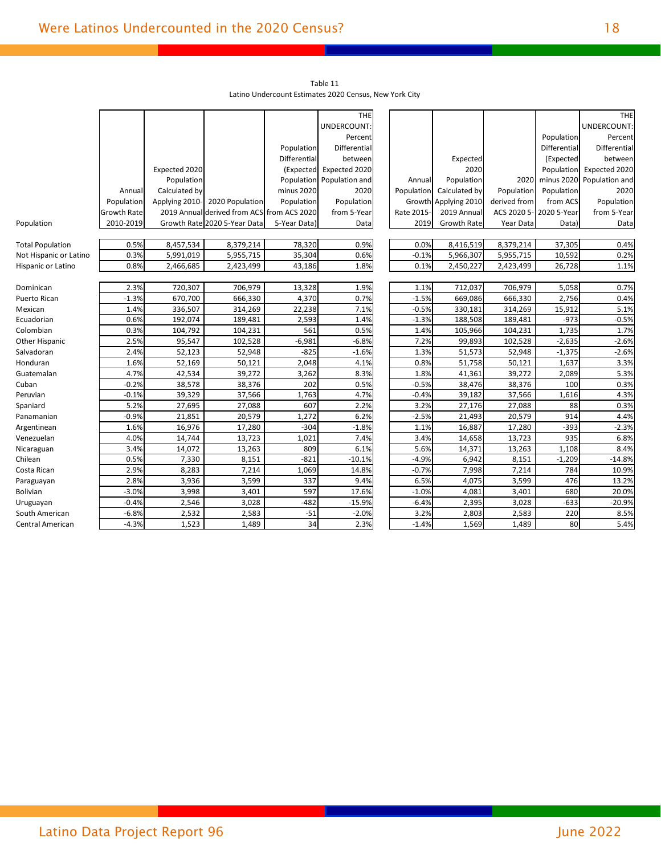|                         |                    |                |                                            |              | <b>THE</b>     |            |                      |                         |              | <b>THE</b>          |
|-------------------------|--------------------|----------------|--------------------------------------------|--------------|----------------|------------|----------------------|-------------------------|--------------|---------------------|
|                         |                    |                |                                            |              | UNDERCOUNT:    |            |                      |                         |              | UNDERCOUNT:         |
|                         |                    |                |                                            |              | Percent        |            |                      |                         | Population   | Percent             |
|                         |                    |                |                                            | Population   | Differential   |            |                      |                         | Differential | <b>Differential</b> |
|                         |                    |                |                                            | Differential | between        |            | Expected             |                         | (Expected    | between             |
|                         |                    | Expected 2020  |                                            | (Expected    | Expected 2020  |            | 2020                 |                         | Population   | Expected 2020       |
|                         |                    | Population     |                                            | Population   | Population and | Annual     | Population           | 2020                    | minus 2020   | Population and      |
|                         | Annual             | Calculated by  |                                            | minus 2020   | 2020           | Population | Calculated by        | Population              | Population   | 2020                |
|                         | Population         | Applying 2010- | 2020 Population                            | Population   | Population     |            | Growth Applying 2010 | derived from            | from ACS     | Population          |
|                         | <b>Growth Rate</b> |                | 2019 Annual derived from ACS from ACS 2020 |              | from 5-Year    | Rate 2015- | 2019 Annual          | ACS 2020 5- 2020 5-Year |              | from 5-Year         |
| Population              | 2010-2019          |                | Growth Rate 2020 5-Year Data               | 5-Year Data) | Data           | 2019       | <b>Growth Rate</b>   | Year Data               | Data)        | Data                |
|                         |                    |                |                                            |              |                |            |                      |                         |              |                     |
| <b>Total Population</b> | 0.5%               | 8,457,534      | 8,379,214                                  | 78,320       | 0.9%           | 0.0%       | 8,416,519            | 8,379,214               | 37,305       | 0.4%                |
| Not Hispanic or Latino  | 0.3%               | 5,991,019      | 5,955,715                                  | 35,304       | 0.6%           | $-0.1%$    | 5,966,307            | 5,955,715               | 10,592       | 0.2%                |
| Hispanic or Latino      | 0.8%               | 2,466,685      | 2,423,499                                  | 43,186       | 1.8%           | 0.1%       | 2,450,227            | 2,423,499               | 26,728       | 1.1%                |
|                         |                    |                |                                            |              |                |            |                      |                         |              |                     |
| Dominican               | 2.3%               | 720,307        | 706,979                                    | 13,328       | 1.9%           | 1.1%       | 712,037              | 706,979                 | 5,058        | 0.7%                |
| Puerto Rican            | $-1.3%$            | 670,700        | 666,330                                    | 4,370        | 0.7%           | $-1.5%$    | 669,086              | 666,330                 | 2,756        | 0.4%                |
| Mexican                 | 1.4%               | 336,507        | 314,269                                    | 22,238       | 7.1%           | $-0.5%$    | 330,181              | 314,269                 | 15,912       | 5.1%                |
| Ecuadorian              | 0.6%               | 192,074        | 189,481                                    | 2,593        | 1.4%           | $-1.3%$    | 188,508              | 189,481                 | $-973$       | $-0.5%$             |
| Colombian               | 0.3%               | 104,792        | 104,231                                    | 561          | 0.5%           | 1.4%       | 105,966              | 104,231                 | 1,735        | 1.7%                |
| Other Hispanic          | 2.5%               | 95,547         | 102,528                                    | $-6,981$     | $-6.8%$        | 7.2%       | 99,893               | 102,528                 | $-2,635$     | $-2.6%$             |
| Salvadoran              | 2.4%               | 52,123         | 52,948                                     | $-825$       | $-1.6%$        | 1.3%       | 51,573               | 52,948                  | $-1,375$     | $-2.6%$             |
| Honduran                | 1.6%               | 52,169         | 50,121                                     | 2,048        | 4.1%           | 0.8%       | 51,758               | 50,121                  | 1,637        | 3.3%                |
| Guatemalan              | 4.7%               | 42,534         | 39,272                                     | 3,262        | 8.3%           | 1.8%       | 41,361               | 39,272                  | 2,089        | 5.3%                |
| Cuban                   | $-0.2%$            | 38,578         | 38,376                                     | 202          | 0.5%           | $-0.5%$    | 38,476               | 38,376                  | 100          | 0.3%                |
| Peruvian                | $-0.1%$            | 39,329         | 37,566                                     | 1,763        | 4.7%           | $-0.4%$    | 39,182               | 37,566                  | 1,616        | 4.3%                |
| Spaniard                | 5.2%               | 27,695         | 27,088                                     | 607          | 2.2%           | 3.2%       | 27,176               | 27,088                  | 88           | 0.3%                |
| Panamanian              | $-0.9%$            | 21,851         | 20,579                                     | 1,272        | 6.2%           | $-2.5%$    | 21,493               | 20,579                  | 914          | 4.4%                |
| Argentinean             | 1.6%               | 16,976         | 17,280                                     | $-304$       | $-1.8%$        | 1.1%       | 16,887               | 17,280                  | $-393$       | $-2.3%$             |
| Venezuelan              | 4.0%               | 14,744         | 13,723                                     | 1,021        | 7.4%           | 3.4%       | 14,658               | 13,723                  | 935          | 6.8%                |
| Nicaraguan              | 3.4%               | 14,072         | 13,263                                     | 809          | 6.1%           | 5.6%       | 14,371               | 13,263                  | 1,108        | 8.4%                |
| Chilean                 | 0.5%               | 7,330          | 8,151                                      | $-821$       | $-10.1%$       | $-4.9%$    | 6,942                | 8,151                   | $-1,209$     | $-14.8%$            |
| Costa Rican             | 2.9%               | 8,283          | 7,214                                      | 1,069        | 14.8%          | $-0.7%$    | 7,998                | 7,214                   | 784          | 10.9%               |
| Paraguayan              | 2.8%               | 3,936          | 3,599                                      | 337          | 9.4%           | 6.5%       | 4,075                | 3,599                   | 476          | 13.2%               |
| Bolivian                | $-3.0%$            | 3,998          | 3,401                                      | 597          | 17.6%          | $-1.0%$    | 4,081                | 3,401                   | 680          | 20.0%               |
| Uruguayan               | $-0.4%$            | 2,546          | 3,028                                      | $-482$       | $-15.9%$       | $-6.4%$    | 2,395                | 3,028                   | $-633$       | $-20.9%$            |
| South American          | $-6.8%$            | 2,532          | 2,583                                      | $-51$        | $-2.0%$        | 3.2%       | 2,803                | 2,583                   | 220          | 8.5%                |
| Central American        | $-4.3%$            | 1,523          | 1,489                                      | 34           | 2.3%           | $-1.4%$    | 1,569                | 1,489                   | 80           | 5.4%                |

Table 11 Latino Undercount Estimates 2020 Census, New York City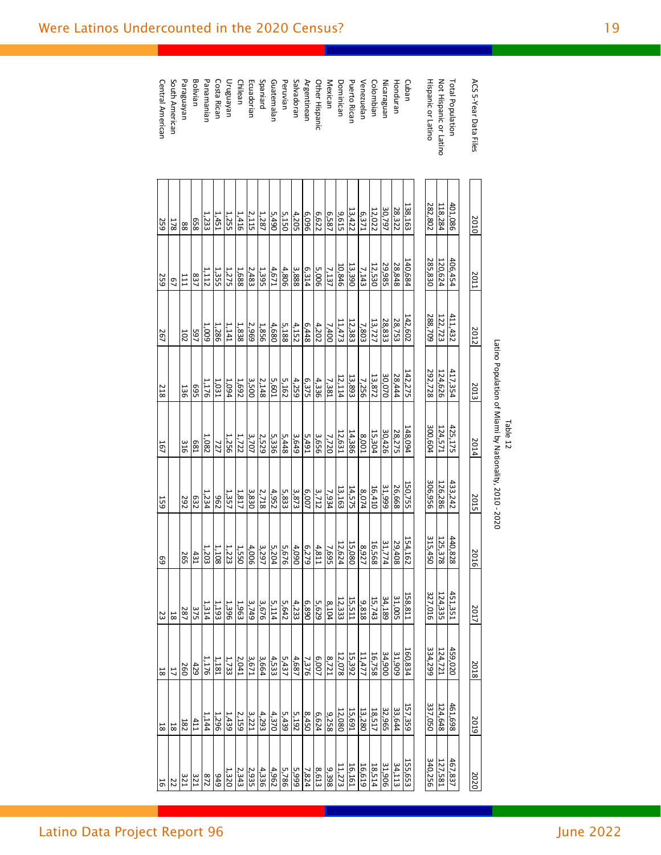|                                            |                    |                    |                    |                    | Latino Population of Miami by Nationality, 2010 - 2020<br>Table 12 |                    |                            |                    |                    |                                |                    |
|--------------------------------------------|--------------------|--------------------|--------------------|--------------------|--------------------------------------------------------------------|--------------------|----------------------------|--------------------|--------------------|--------------------------------|--------------------|
| ACS 5-Year Data Files                      | 2010               | 2011               | 2012               | 2013               | 2014                                                               | 2015               | 201<br>$\overline{\sigma}$ | 2017               | 2018               | 2019                           | 2020               |
|                                            |                    |                    |                    |                    |                                                                    |                    |                            |                    |                    |                                |                    |
| Total Population<br>Not Hispanic or Latino | 401,086<br>118,284 | 406,454<br>120,624 | 411,432<br>122,723 | 417,354<br>124,626 | 425,175<br>124,571                                                 | 433,242<br>126,286 | 440,828<br>125,378         | 451,351<br>124,335 | 459,020<br>124,721 | $\frac{461,698}{x}$<br>124,648 | 467,837<br>127,581 |
| <b>Hispanic or Latino</b>                  | 282,802            | 285,830            | 288,709            | 292,728            | 300,604                                                            | 306,956            | 315,450                    | 327,016            | 334,299            | 337,050                        | 340,256            |
|                                            |                    |                    |                    |                    |                                                                    |                    |                            |                    |                    |                                |                    |
| Cuban                                      | 138,163            | 140,684            | 142,602            | 142,275            | 148,094                                                            | 150,755            | 154,162                    | 158,811            | 160,834            | L57,359                        | 155,653            |
| Honduran                                   | 28,322             | 28,848             | 28,753             | 28,444             | 28,275                                                             | 26,668             | 29,408                     | 31,005             | 31,909             | 33,644                         | 34,113             |
| Nicaraguan                                 | 30,797             | 29,985             | 28,833             | 30,070             | 30,426                                                             | 31,999             | 31,774                     | 34,189             | 34,900             | 32,965                         | 31,906             |
| Colombian                                  | 12,022             | $\frac{12,530}{2}$ | 13,727             | 13,872             | $\frac{15,304}{2}$                                                 | $\frac{16,410}{2}$ | 16,568                     | $\frac{15,743}{ }$ | $\frac{16,758}{ }$ | 18,517                         | 18,514             |
| Venezuelan                                 | 6,371              | 7,143              | 7,803              | 7,256              | 100'8                                                              | 8,074              | 8,927                      | 9,818              | 11,477             | 13,280                         | 16,619             |
| <b>Puerto Rican</b>                        | 13,422             | 13,390             | 12,383             | 13,893             | 14,386                                                             | 14,575             | 15,080                     | 15,511             | 15,392             | 15,691                         | 16,161             |
| Dominican                                  | 9,615              | 10,846             | 11,473             | 12,114             | 12,631                                                             | 13,163             | 12,62                      | 12,333             | 12,078             | 12,080                         | 11,273             |
| Mexican                                    | 6,587              | 7,137              | 7,400              | 7,381              | 7,720                                                              | 7,934              | 7,69<br>U                  | 8,104              | 8,721              | 9,258                          | 9,398              |
| Other Hispanic                             | 6,622              | 5,006              | 4,202              | 4,336              | 3,656                                                              | 3,712              |                            | 5,629              | 6,007              | 6,624                          | 8,613              |
| Argentinean                                | 960'9              | 6,314              | 6,448              | 6,375              | 5,491                                                              | 6,007              | $\frac{4,811}{6,279}$      | 6,890              | 7,376              | 8,450                          | 7,824              |
| Salvadoran                                 | 4,205              | 3,888              | 4,152              | 4,259              | 3,649                                                              | 3,873              | $rac{4,090}{ }$            | $\frac{4,233}{2}$  | 4,687              | 5,192                          | <b>666'S</b>       |
| Peruvian                                   | 5,150              | 4,806              | 5,188              | 5,162              | 5,448                                                              | 5,833              | 5,676                      | 5,642              | 5,437              | 5,439                          | 5,786              |
| Guatemalan                                 | 5,490              | 4,671              | 4,680              | 5,601              | 5,336                                                              | 4,952              | 5,204                      | 5,114              | 4,533              | 4,370                          | 4,962              |
| Spaniard                                   | 1,287              | 1,395              | 1,856              | 2,148              | 2,529                                                              | 2,718              | 3,297                      | 3,676              | 3,664              | 4,293                          | 4,336              |
| Ecuadorian                                 | 2,115              | 2,483              | 2,969              | 3,500              | 3,707                                                              | 3,830              | 4,006                      | 3,749              | 3,671              | 3,221                          | 2,935              |
| Chilean                                    | 1,416              | 1,688              | 1,838              | 1,692              | 1,722                                                              | 1,817              |                            | 1,963              | 2,041              | $\frac{2,159}{ }$              | 2,343              |
| Uruguayan                                  | 1,255              | 1,275              | 1,141              | 1,094              | 1,256                                                              | 1,357              | $\frac{1,550}{1,223}$      | 1,396              | 1,733              | 1,439                          | 1,320              |
| Costa Rican                                | 1,451              | 1,355              | 1,286              | $\frac{1,031}{1}$  | 727                                                                | 296                | 1,108                      | 1,193              | 1,181              | $\frac{1,296}{ }$              | 676                |
| Panamanian                                 | 1,233              | 1,112              | 1,009              | 1,176              | 1,082                                                              | 1,234              | 1,203                      | 1,314              | 1,176              | 1,144                          | 272                |
| Bolivian                                   | 859                | 837                | 597                | 569                | <b>E83</b>                                                         | E32                | $\frac{4}{3}$              | 375                | 429                | 411                            | 321                |
| Paraguayan                                 | 88                 | 111                | <b>102</b>         | 136                | 316                                                                | 292                | <b>265</b>                 | 287                | 260                | $\overline{182}$               | 321                |
| South American                             | 178                | 97                 |                    |                    |                                                                    |                    |                            | $\overline{8}$     | 17                 | 18                             | 22                 |
| Central American                           | 259                | 259                | 267                | 218                | $\frac{167}{2}$                                                    | <b>159</b>         | 69                         | 23                 | 18                 | 18                             | 91                 |

Latino Data Project Report 96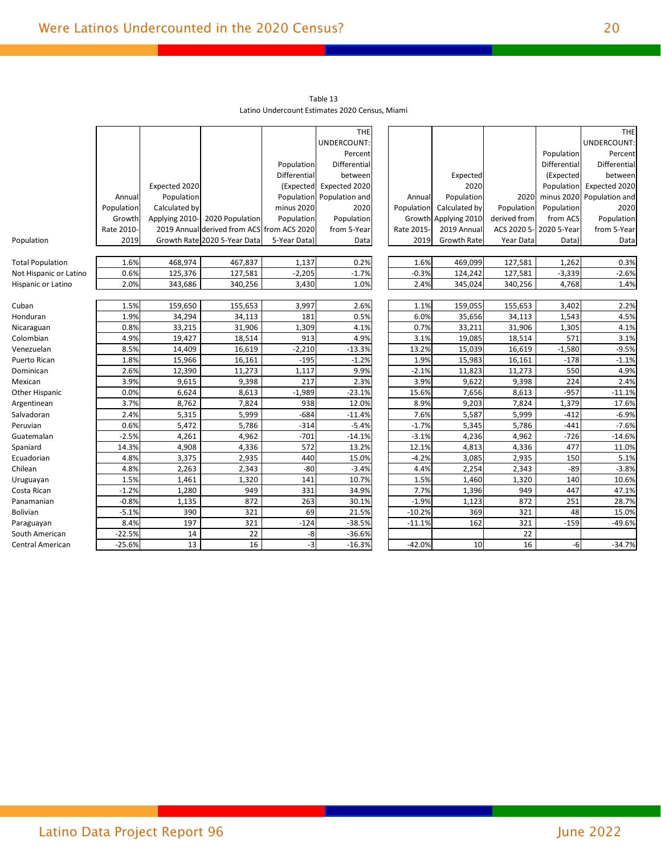|                         |            |                |                                            |              | Table 13<br>Latino Undercount Estimates 2020 Census, Miami |            |                    |              |              |                |
|-------------------------|------------|----------------|--------------------------------------------|--------------|------------------------------------------------------------|------------|--------------------|--------------|--------------|----------------|
|                         |            |                |                                            |              |                                                            |            |                    |              |              |                |
|                         |            |                |                                            |              | <b>THE</b>                                                 |            |                    |              |              | THE            |
|                         |            |                |                                            |              | UNDERCOUNT:                                                |            |                    |              |              | UNDERCOUNT:    |
|                         |            |                |                                            |              | Percent                                                    |            |                    |              | Population   | Percent        |
|                         |            |                |                                            | Population   | Differential                                               |            |                    |              | Differential | Differential   |
|                         |            |                |                                            | Differential | between                                                    |            | Expected           |              | (Expected    | between        |
|                         |            | Expected 2020  |                                            | (Expected    | Expected 2020                                              |            | 2020               |              | Population   | Expected 2020  |
|                         | Annual     | Population     |                                            | Population   | Population and                                             | Annual     | Population         | 2020         | minus 2020   | Population and |
|                         | Population | Calculated by  |                                            | minus 2020   | 2020                                                       | Population | Calculated by      | Population   | Population   | 2020           |
|                         | Growth     | Applying 2010- | 2020 Population                            | Population   | Population                                                 | Growth     | Applying 2010      | derived from | from ACS     | Population     |
|                         | Rate 2010- |                | 2019 Annual derived from ACS from ACS 2020 |              | from 5-Year                                                | Rate 2015  | 2019 Annual        | ACS 2020 5-  | 2020 5-Year  | from 5-Year    |
| Population              | 2019       |                | Growth Rate 2020 5-Year Data               | 5-Year Data) | Data                                                       | 2019       | <b>Growth Rate</b> | Year Data    | Data)        | Data           |
|                         |            |                |                                            |              |                                                            |            |                    |              |              |                |
| <b>Total Population</b> | 1.6%       | 468,974        | 467,837                                    | 1,137        | 0.2%                                                       | 1.6%       | 469,099            | 127,581      | 1,262        | 0.3%           |
| Not Hispanic or Latino  | 0.6%       | 125,376        | 127,581                                    | $-2,205$     | $-1.7%$                                                    | $-0.3%$    | 124,242            | 127,581      | $-3,339$     | $-2.6%$        |
| Hispanic or Latino      | 2.0%       | 343,686        | 340,256                                    | 3,430        | 1.0%                                                       | 2.4%       | 345,024            | 340,256      | 4,768        | 1.4%           |
|                         |            |                |                                            |              |                                                            |            |                    |              |              |                |
| Cuban                   | 1.5%       | 159,650        | 155,653                                    | 3,997        | 2.6%                                                       | 1.1%       | 159,055            | 155,653      | 3,402        | 2.2%           |
| Honduran                | 1.9%       | 34,294         | 34,113                                     | 181          | 0.5%                                                       | 6.0%       | 35,656             | 34,113       | 1,543        | 4.5%           |
| Nicaraguan              | 0.8%       | 33,215         | 31,906                                     | 1,309        | 4.1%                                                       | 0.7%       | 33,211             | 31,906       | 1,305        | 4.1%           |
| Colombian               | 4.9%       | 19,427         | 18,514                                     | 913          | 4.9%                                                       | 3.1%       | 19,085             | 18,514       | 571          | 3.1%           |
| Venezuelan              | 8.5%       | 14,409         | 16,619                                     | $-2,210$     | $-13.3%$                                                   | 13.2%      | 15,039             | 16,619       | $-1,580$     | $-9.5%$        |
| Puerto Rican            | 1.8%       | 15,966         | 16,161                                     | $-195$       | $-1.2%$                                                    | 1.9%       | 15,983             | 16,161       | $-178$       | $-1.1%$        |
| Dominican               | 2.6%       | 12,390         | 11,273                                     | 1,117        | 9.9%                                                       | $-2.1%$    | 11,823             | 11,273       | 550          | 4.9%           |
| Mexican                 | 3.9%       | 9,615          | 9,398                                      | 217          | 2.3%                                                       | 3.9%       | 9,622              | 9,398        | 224          | 2.4%           |
| Other Hispanic          | 0.0%       | 6,624          | 8,613                                      | $-1,989$     | $-23.1%$                                                   | 15.6%      | 7,656              | 8,613        | $-957$       | $-11.1%$       |
| Argentinean             | 3.7%       | 8,762          | 7,824                                      | 938          | 12.0%                                                      | 8.9%       | 9,203              | 7,824        | 1,379        | 17.6%          |
| Salvadoran              | 2.4%       | 5,315          | 5,999                                      | $-684$       | $-11.4%$                                                   | 7.6%       | 5,587              | 5,999        | $-412$       | $-6.9%$        |
| Peruvian                | 0.6%       | 5,472          | 5,786                                      | $-314$       | $-5.4%$                                                    | $-1.7%$    | 5,345              | 5,786        | $-441$       | $-7.6%$        |
| Guatemalan              | $-2.5%$    | 4,261          | 4,962                                      | $-701$       | $-14.1%$                                                   | $-3.1%$    | 4,236              | 4,962        | $-726$       | $-14.6%$       |
| Spaniard                | 14.3%      | 4,908          | 4,336                                      | 572          | 13.2%                                                      | 12.1%      | 4,813              | 4,336        | 477          | 11.0%          |
| Ecuadorian              | 4.8%       | 3,375          | 2,935                                      | 440          | 15.0%                                                      | $-4.2%$    | 3,085              | 2,935        | 150          | 5.1%           |
| Chilean                 | 4.8%       | 2,263          | 2,343                                      | $-80$        | $-3.4%$                                                    | 4.4%       | 2,254              | 2,343        | $-89$        | $-3.8%$        |
| Uruguayan               | 1.5%       | 1,461          | 1,320                                      | 141          | 10.7%                                                      | 1.5%       | 1,460              | 1,320        | 140          | 10.6%          |
| Costa Rican             | $-1.2%$    | 1,280          | 949                                        | 331          | 34.9%                                                      | 7.7%       | 1,396              | 949          | 447          | 47.1%          |
| Panamanian              | $-0.8%$    | 1,135          | 872                                        | 263          | 30.1%                                                      | $-1.9%$    | 1,123              | 872          | 251          | 28.7%          |
| <b>Bolivian</b>         | $-5.1%$    | 390            | 321                                        | 69           | 21.5%                                                      | $-10.2%$   | 369                | 321          | 48           | 15.0%          |
| Paraguayan              | 8.4%       | 197            | 321                                        | $-124$       | $-38.5%$                                                   | $-11.1%$   | 162                | 321          | $-159$       | $-49.6%$       |
| South American          | $-22.5%$   | 14             | 22                                         | -8           | $-36.6%$                                                   |            |                    | 22           |              |                |
| Central American        | $-25.6%$   | 13             | 16                                         | -3           | $-16.3%$                                                   | $-42.0%$   | 10                 | 16           | $-6$         | $-34.7%$       |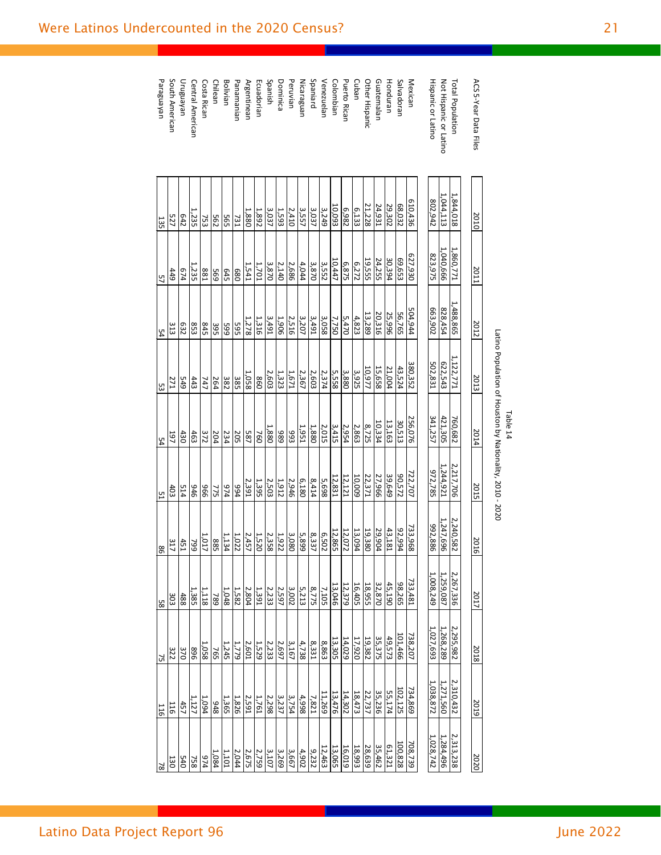| ACS 5-Year Data Files  | 2010       | 2011       | 2012            | 2013            | 2014       | 2015               | 2016            | 2017                                                                                                                                                                                                                                           | 2018                    | 2019                    | 2020                  |
|------------------------|------------|------------|-----------------|-----------------|------------|--------------------|-----------------|------------------------------------------------------------------------------------------------------------------------------------------------------------------------------------------------------------------------------------------------|-------------------------|-------------------------|-----------------------|
| Total Population       | 1,844,018  | 1,860,771  | 1,488,865       | 1,122,771       | 760,682    | 2,217,706          | 2,240,582       | 2,267,336                                                                                                                                                                                                                                      |                         | 2,310,432               | 2,313,238             |
| Not Hispanic or Latino | 1,044,113  | 1,040,666  | 828,454         | 622,543         | 421,305    | 1,244,921          | 1,247,696       | 1,259,087                                                                                                                                                                                                                                      | 2,295,982<br>1,268,289  | 1,271,560               | 1,284,496             |
| Hispanic or Latino     | 802,942    | 823,975    | 663,902         | 502,831         | 341,257    | 972,785            | 992,886         | 1,008,249                                                                                                                                                                                                                                      | 1,027,693               | 1,038,872               | $\frac{1,028,742}{1}$ |
|                        |            |            |                 |                 |            |                    |                 |                                                                                                                                                                                                                                                |                         |                         |                       |
| Mexican                | 610,436    | 627,930    | 504,944         | 380,352         | 256,076    | 722,707            | 733,968         | 733,481                                                                                                                                                                                                                                        | 738,207                 | 734,869                 | 708,739               |
| Salvadoran             | 68,032     | £59'69     | 56,765          | 43,524          | 30,513     | 20,572             | 92,994          | 98,265                                                                                                                                                                                                                                         | 101,466                 | 102,125                 | 100,828               |
| Honduran               | 29,302     | 30,394     | 25,996          | 21,004          | 13,163     | 39,649             | 43,181          | 45,190                                                                                                                                                                                                                                         | 49,573                  |                         | 61,321                |
| Guatemalan             | 24,931     | 24,255     | 20,316          | 15,658          | 10,334     | 27,966             | 29,904          |                                                                                                                                                                                                                                                |                         | $\frac{55,174}{35,236}$ |                       |
| Other Hispanic         | 21,228     | 19,555     | 13,289          | 10,977          | 8,725      | $\frac{22,371}{2}$ | 19,380          | 32,870<br>18,955                                                                                                                                                                                                                               | 35,375<br>19,382        |                         | 35,462<br>28,639      |
| Cuban                  | 6,133      | 6,272      | 4,823           | 3,925           | 2,863      | 10,009             | 13,094          | 16,405                                                                                                                                                                                                                                         |                         | 18,473                  |                       |
| <b>Puerto Rican</b>    | 6,982      | 6,875      | 5,470           | 3,880           | 2,954      | 12,121             | 12,072          | 12,379                                                                                                                                                                                                                                         | $\frac{17,920}{14,029}$ | 14,302                  | 18,993                |
| Colombian              | 10,093     | 10,447     | 7,750           | 5,558           | 3,415      | 12,831             | 12,865          | 13,046                                                                                                                                                                                                                                         | 13,305                  | 13,476                  | 13,065                |
| Venezuelan             | 3,249      | 3,552      | 3,058           | 2,374           | 2,015      | 5,698              | 6,502           |                                                                                                                                                                                                                                                | 8,863                   | 11,269                  |                       |
| Spaniard               | 3,037      | 3,870      | 3,491           | 2,603           | 1,880      | 8,414              | 8,337           |                                                                                                                                                                                                                                                | 8,331                   | 7,821                   |                       |
| Nicaraguan             | 3,557      | 4,044      | 3,207           | 2,367           | 1,951      | 6,180              | 5,899           |                                                                                                                                                                                                                                                |                         | 4,998                   |                       |
| Peruvian               | 2,410      | 2,686      | 2,516           | 1,671           | 893        | 2,946              | 3,080           | $\begin{array}{c c c c c} & 1 & 0 & 0 & 0 \\ \hline & 1 & 1 & 1 & 0 & 0 \\ \hline & 1 & 1 & 1 & 1 & 0 \\ \hline & 1 & 1 & 1 & 1 & 0 \\ \hline & 1 & 1 & 1 & 1 & 1 \\ \hline & 1 & 1 & 1 & 1 & 1 \\ \hline & 1 & 1 & 1 & 1 & 1 \\ \hline & 1 &$ | $\frac{4,738}{3,167}$   | 3,754                   |                       |
| Dominica               | 1,593      | 2,140      | 1,906           | 1,323           | 686        | 1,912              | 1,922           |                                                                                                                                                                                                                                                | 2,697                   | 3,237                   |                       |
| Spanish                | 3,037      | 3,870      | 3,491           | 2,603           | 1,880      | 2,503              | 2,358           | 2,233                                                                                                                                                                                                                                          | 2,233                   | 2,298                   | 3,107                 |
| Ecuadorian             | 1,892      | 1,701      | 1,316           | 860             | 760        | 1,395              | 1,520           | 1,391                                                                                                                                                                                                                                          | 1,529                   | 1,761                   | 2,759                 |
| Argentinean            | 1,880      | 1,541      | $\frac{1}{278}$ | 1,058           | <b>587</b> | 2,391              | 2,457           |                                                                                                                                                                                                                                                |                         | 2,591                   |                       |
| Panamanian             | 731        | 089        | 565             | 385             | 205        | 994                | 1,022           | $\frac{2,804}{1,582}$                                                                                                                                                                                                                          | $\frac{2,601}{1,779}$   | 1,826                   | $\frac{2.675}{2.044}$ |
| Bolivian               | 565        | <b>645</b> | 665             | 382             | 234        | 974                | 1,134           | 1,048                                                                                                                                                                                                                                          | 1,245                   | 1,365                   | 1,101                 |
| Chilean                | 562        | 695        | 395             | 264             | 204        | 775                | 885             | 789                                                                                                                                                                                                                                            | 765                     | 848                     | 1,084                 |
| Costa Rican            | 753        | <b>881</b> | S45             | 747             | 372        | 996                | 1,017           | 1,118                                                                                                                                                                                                                                          | 1,058                   | 1,094                   |                       |
| Central American       | 1,235      | 1,235      | 853             | 443             | 463        | 946                | 66 <i>L</i>     | 1,385                                                                                                                                                                                                                                          | 968                     | 1,127                   |                       |
| Uruguayan              | E42        | 674        | 532             | 67 <sup>5</sup> | 430        | 514                | $\frac{451}{2}$ | 488                                                                                                                                                                                                                                            | 370                     | $\frac{457}{2}$         |                       |
| South American         | 527        | 449        | 313             | <b>271</b>      | 197        | 403                | 317             | 303                                                                                                                                                                                                                                            | 322                     | 116                     | $\frac{978}{2888}$    |
| Paraguayan             | <b>135</b> | 57         | $\frac{54}{4}$  | 53              | 54         | 51                 | $\frac{98}{2}$  | 58                                                                                                                                                                                                                                             | $\overline{5}$          | 116                     |                       |